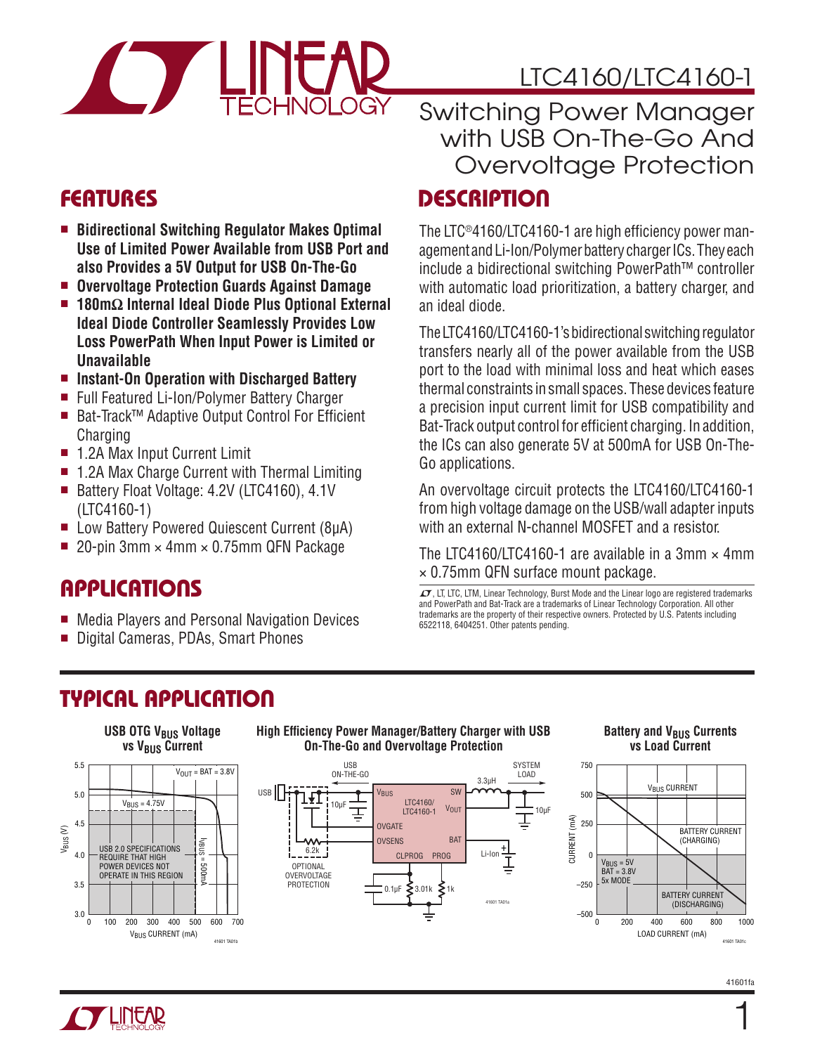

### LTC4160/LTC4160-1

### FEATURES

- Bidirectional Switching Regulator Makes Optimal **Use of Limited Power Available from USB Port and also Provides a 5V Output for USB On-The-Go**
- <sup>n</sup> **Overvoltage Protection Guards Against Damage**
- <sup>n</sup> **180mΩ Internal Ideal Diode Plus Optional External Ideal Diode Controller Seamlessly Provides Low Loss PowerPath When Input Power is Limited or Unavailable**
- Instant-On Operation with Discharged Battery
- Full Featured Li-Ion/Polymer Battery Charger
- Bat-Track™ Adaptive Output Control For Efficient **Charging**
- 1.2A Max Input Current Limit
- 1.2A Max Charge Current with Thermal Limiting
- Battery Float Voltage: 4.2V (LTC4160), 4.1V (LTC4160-1)
- Low Battery Powered Quiescent Current (8µA)
- **20-pin 3mm**  $\times$  **4mm**  $\times$  **0.75mm QFN Package**

### **APPLICATIONS**

- Media Players and Personal Navigation Devices
- Digital Cameras, PDAs, Smart Phones

### **DESCRIPTION** Switching Power Manager with USB On-The-Go And Overvoltage Protection

# The LTC®4160/LTC4160-1 are high efficiency power man-

agement and Li-Ion/Polymer battery charger ICs. They each include a bidirectional switching PowerPath™ controller with automatic load prioritization, a battery charger, and an ideal diode.

The LTC4160/LTC4160-1's bidirectional switching regulator transfers nearly all of the power available from the USB port to the load with minimal loss and heat which eases thermal constraints in small spaces. These devices feature a precision input current limit for USB compatibility and Bat-Track output control for efficient charging. In addition, the ICs can also generate 5V at 500mA for USB On-The-Go applications.

An overvoltage circuit protects the LTC4160/LTC4160-1 from high voltage damage on the USB/wall adapter inputs with an external N-channel MOSFET and a resistor.

The LTC4160/LTC4160-1 are available in a 3mm  $\times$  4mm × 0.75mm QFN surface mount package.

 $I$ , LT, LTC, LTM, Linear Technology, Burst Mode and the Linear logo are registered trademarks and PowerPath and Bat-Track are a trademarks of Linear Technology Corporation. All other trademarks are the property of their respective owners. Protected by U.S. Patents including 6522118, 6404251. Other patents pending.

### TYPICAL APPLICATION



#### **High Efficiency Power Manager/Battery Charger with USB On-The-Go and Overvoltage Protection**



#### **Battery and V<sub>BUS</sub> Currents vs Load Current**



1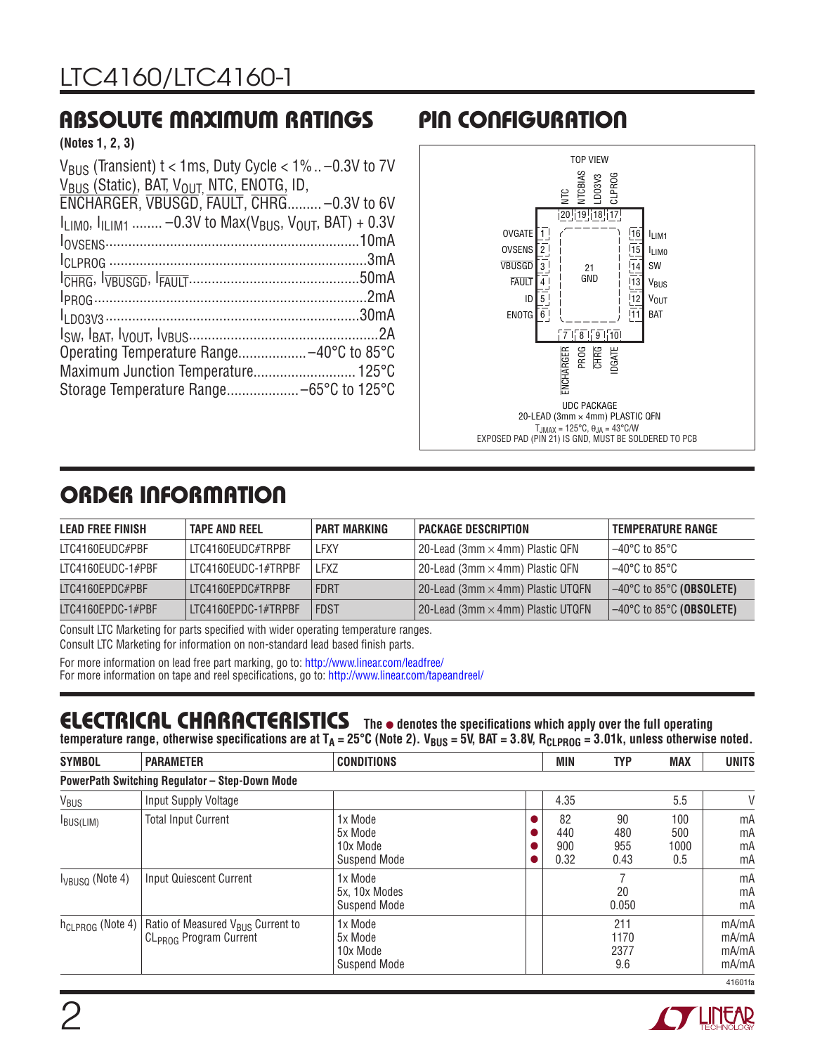### ABSOLUTE MAXIMUM RATINGS PIN CONFIGURATION

**(Notes 1, 2, 3)**

| $V_{\text{RIS}}$ (Transient) t < 1ms, Duty Cycle < 1%  -0.3V to 7V        |
|---------------------------------------------------------------------------|
|                                                                           |
| ENCHARGER, VBUSGD, FAULT, CHRG-0.3V to 6V                                 |
| $I_{11M0}$ , $I_{11M1}$ -0.3V to Max( $V_{BUS}$ , $V_{OUT}$ , BAT) + 0.3V |
|                                                                           |
|                                                                           |
|                                                                           |
|                                                                           |
|                                                                           |
|                                                                           |
|                                                                           |
|                                                                           |
|                                                                           |
|                                                                           |



### ORDER INFORMATION

| <b>LEAD FREE FINISH</b> | <b>TAPE AND REEL</b> | <b>PART MARKING</b> | <b>PACKAGE DESCRIPTION</b>               | <b>TEMPERATURE RANGE</b>                      |
|-------------------------|----------------------|---------------------|------------------------------------------|-----------------------------------------------|
| LTC4160EUDC#PBF         | LTC4160EUDC#TRPBF    | LFXY                | 20-Lead (3mm $\times$ 4mm) Plastic QFN   | $-40^{\circ}$ C to 85°C $-$                   |
| LTC4160EUDC-1#PBF       | LTC4160EUDC-1#TRPBF  | <b>LFXZ</b>         | 20-Lead (3mm $\times$ 4mm) Plastic QFN   | $-40^{\circ}$ C to 85°C                       |
| LTC4160EPDC#PBF         | LTC4160EPDC#TRPBF    | FDRT                | 20-Lead (3mm $\times$ 4mm) Plastic UTQFN | $\sim$ 40°C to 85°C (OBSOLETE)                |
| LTC4160EPDC-1#PBF       | LTC4160EPDC-1#TRPBF  | <b>FDST</b>         | 20-Lead (3mm $\times$ 4mm) Plastic UTQFN | $-40^{\circ}$ C to 85 $^{\circ}$ C (OBSOLETE) |

Consult LTC Marketing for parts specified with wider operating temperature ranges.

Consult LTC Marketing for information on non-standard lead based finish parts.

For more information on lead free part marking, go to: http://www.linear.com/leadfree/ For more information on tape and reel specifications, go to: http://www.linear.com/tapeandreel/

### **ELECTRICAL CHARACTERISTICS** The  $\bullet$  denotes the specifications which apply over the full operating

temperature range, otherwise specifications are at T<sub>A</sub> = 25°C (Note 2). V<sub>BUS</sub> = 5V, BAT = 3.8V, R<sub>CLPROG</sub> = 3.01k, unless otherwise noted.

| <b>SYMBOL</b>                | <b>PARAMETER</b>                                                                    | <b>CONDITIONS</b>                                     | <b>MIN</b>               | <b>TYP</b>                 | <b>MAX</b>                | <b>UNITS</b>                     |
|------------------------------|-------------------------------------------------------------------------------------|-------------------------------------------------------|--------------------------|----------------------------|---------------------------|----------------------------------|
|                              | <b>PowerPath Switching Regulator - Step-Down Mode</b>                               |                                                       |                          |                            |                           |                                  |
| V <sub>BUS</sub>             | Input Supply Voltage                                                                |                                                       | 4.35                     |                            | 5.5                       | V                                |
| $I_{BUS(LIM)}$               | <b>Total Input Current</b>                                                          | 1x Mode<br>5x Mode<br>10x Mode<br><b>Suspend Mode</b> | 82<br>440<br>900<br>0.32 | 90<br>480<br>955<br>0.43   | 100<br>500<br>1000<br>0.5 | mA<br>mA<br>mA<br>mA             |
| $I_{VBUSQ}$ (Note 4)         | Input Quiescent Current                                                             | 1x Mode<br>5x, 10x Modes<br><b>Suspend Mode</b>       |                          | 20<br>0.050                |                           | mA<br>mA<br>mA                   |
| h <sub>CLPROG</sub> (Note 4) | Ratio of Measured V <sub>BUS</sub> Current to<br>CL <sub>PROG</sub> Program Current | 1x Mode<br>5x Mode<br>10x Mode<br><b>Suspend Mode</b> |                          | 211<br>1170<br>2377<br>9.6 |                           | mA/mA<br>mA/mA<br>mA/mA<br>mA/mA |
|                              |                                                                                     |                                                       |                          |                            |                           | 41601fa                          |

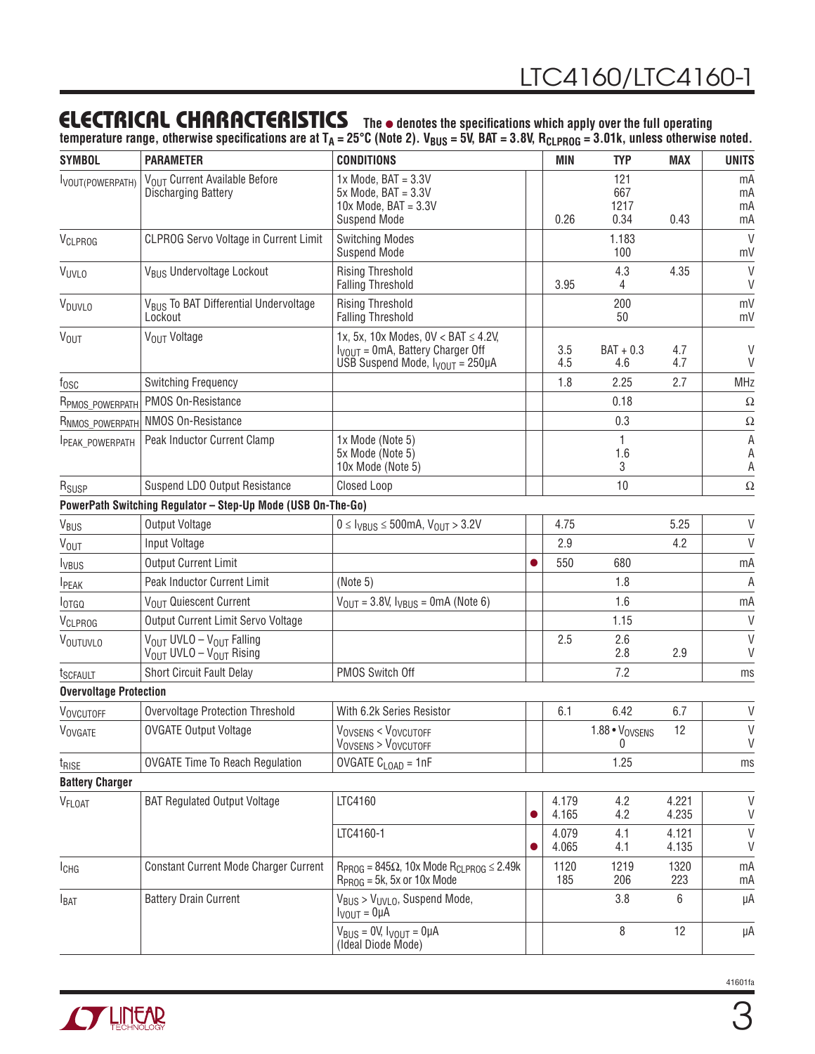### **ELECTRICAL CHARACTERISTICS** The  $\bullet$  denotes the specifications which apply over the full operating

temperature range, otherwise specifications are at T<sub>A</sub> = 25°C (Note 2). V<sub>BUS</sub> = 5V, BAT = 3.8V, R<sub>CLPROG</sub> = 3.01k, unless otherwise noted.

| <b>SYMBOL</b>                 | <b>PARAMETER</b>                                                                                    | <b>CONDITIONS</b>                                                                                                                      |   | MIN            | <b>TYP</b>                 | <b>MAX</b>     | <b>UNITS</b>          |
|-------------------------------|-----------------------------------------------------------------------------------------------------|----------------------------------------------------------------------------------------------------------------------------------------|---|----------------|----------------------------|----------------|-----------------------|
| VOUT(POWERPATH)               | VOLIT Current Available Before<br><b>Discharging Battery</b>                                        | $1x$ Mode, BAT = $3.3V$<br>$5x$ Mode, BAT = $3.3V$<br>$10x$ Mode, BAT = $3.3V$<br><b>Suspend Mode</b>                                  |   | 0.26           | 121<br>667<br>1217<br>0.34 | 0.43           | mA<br>mA<br>mA<br>mA  |
| VCLPROG                       | <b>CLPROG Servo Voltage in Current Limit</b>                                                        | <b>Switching Modes</b><br><b>Suspend Mode</b>                                                                                          |   |                | 1.183<br>100               |                | V<br>mV               |
| VUVLO                         | V <sub>BUS</sub> Undervoltage Lockout                                                               | <b>Rising Threshold</b><br><b>Falling Threshold</b>                                                                                    |   | 3.95           | 4.3<br>4                   | 4.35           | $\mathsf{V}$<br>V     |
| V <sub>DUVLO</sub>            | V <sub>BUS</sub> To BAT Differential Undervoltage<br>Lockout                                        | <b>Rising Threshold</b><br><b>Falling Threshold</b>                                                                                    |   |                | 200<br>50                  |                | mV<br>mV              |
| <b>V<sub>OUT</sub></b>        | V <sub>OUT</sub> Voltage                                                                            | 1x, 5x, 10x Modes, $0V < BAT \le 4.2V$ ,<br>$I_{VOUT} = 0 \text{mA}$ , Battery Charger Off<br>USB Suspend Mode, $I_{VOUT} = 250 \mu A$ |   | 3.5<br>4.5     | $BAT + 0.3$<br>4.6         | 4.7<br>4.7     | V<br>$\vee$           |
| $f_{\rm OSC}$                 | <b>Switching Frequency</b>                                                                          |                                                                                                                                        |   | 1.8            | 2.25                       | 2.7            | MHz                   |
| R <sub>PMOS_POWERPATH</sub>   | PMOS On-Resistance                                                                                  |                                                                                                                                        |   |                | 0.18                       |                | Ω                     |
| RNMOS_POWERPATH               | NMOS On-Resistance                                                                                  |                                                                                                                                        |   |                | 0.3                        |                | $\Omega$              |
| PEAK_POWERPATH                | Peak Inductor Current Clamp                                                                         | 1x Mode (Note 5)<br>5x Mode (Note 5)<br>10x Mode (Note 5)                                                                              |   |                | 1<br>1.6<br>3              |                | Α<br>A<br>Α           |
| R <sub>SUSP</sub>             | Suspend LDO Output Resistance                                                                       | Closed Loop                                                                                                                            |   |                | 10                         |                | $\Omega$              |
|                               | PowerPath Switching Regulator - Step-Up Mode (USB On-The-Go)                                        |                                                                                                                                        |   |                |                            |                |                       |
| V <sub>BUS</sub>              | <b>Output Voltage</b>                                                                               | $0 \leq l_{VBUS} \leq 500$ mA, $V_{OUT} > 3.2V$                                                                                        |   | 4.75           |                            | 5.25           | V                     |
| V <sub>OUT</sub>              | Input Voltage                                                                                       |                                                                                                                                        |   | 2.9            |                            | 4.2            | $\vee$                |
| <b>I</b> <sub>VBUS</sub>      | <b>Output Current Limit</b>                                                                         |                                                                                                                                        |   | 550            | 680                        |                | mA                    |
| <b>I</b> PEAK                 | Peak Inductor Current Limit                                                                         | (Note 5)                                                                                                                               |   |                | 1.8                        |                | $\mathsf A$           |
| <b>l</b> otgq                 | VOUT Quiescent Current                                                                              | $V_{OUT} = 3.8V, V_{UBUS} = 0mA (Note 6)$                                                                                              |   |                | 1.6                        |                | mA                    |
| VCLPROG                       | Output Current Limit Servo Voltage                                                                  |                                                                                                                                        |   |                | 1.15                       |                | $\mathsf{V}$          |
| VOUTUVLO                      | V <sub>OUT</sub> UVLO - V <sub>OUT</sub> Falling<br>V <sub>OUT</sub> UVLO - V <sub>OUT</sub> Rising |                                                                                                                                        |   | 2.5            | 2.6<br>2.8                 | 2.9            | V<br>V                |
| t <sub>SCFAULT</sub>          | Short Circuit Fault Delay                                                                           | PMOS Switch Off                                                                                                                        |   |                | 7.2                        |                | ms                    |
| <b>Overvoltage Protection</b> |                                                                                                     |                                                                                                                                        |   |                |                            |                |                       |
| VOVCUTOFF                     | <b>Overvoltage Protection Threshold</b>                                                             | With 6.2k Series Resistor                                                                                                              |   | 6.1            | 6.42                       | 6.7            | V                     |
| VOVGATE                       | <b>OVGATE Output Voltage</b>                                                                        | VOVSENS < VOVCUTOFF<br>VOVSENS > VOVCUTOFF                                                                                             |   |                | $1.88 \cdot V_{OVSENS}$    | 12             | $\vee$<br>$\mathsf V$ |
| t <sub>RISE</sub>             | <b>OVGATE Time To Reach Regulation</b>                                                              | OVGATE $C_{\text{LOAD}} = 1$ nF                                                                                                        |   |                | 1.25                       |                | ms                    |
| <b>Battery Charger</b>        |                                                                                                     |                                                                                                                                        |   |                |                            |                |                       |
| V <sub>FLOAT</sub>            | <b>BAT Regulated Output Voltage</b>                                                                 | LTC4160                                                                                                                                | 0 | 4.179<br>4.165 | 4.2<br>4.2                 | 4.221<br>4.235 | V<br>V                |
|                               |                                                                                                     | LTC4160-1                                                                                                                              |   | 4.079<br>4.065 | 4.1<br>4.1                 | 4.121<br>4.135 | $\vee$<br>V           |
| $I_{CHG}$                     | Constant Current Mode Charger Current                                                               | $R_{PROG} = 845\Omega$ , 10x Mode $R_{CLPROG} \le 2.49k$<br>$R_{PROG}$ = 5k, 5x or 10x Mode                                            |   | 1120<br>185    | 1219<br>206                | 1320<br>223    | mA<br>mA              |
| <b>I</b> BAT                  | <b>Battery Drain Current</b>                                                                        | $V_{BUS}$ > $V_{UVLO}$ , Suspend Mode,<br>$I_{VOUT} = 0 \mu A$                                                                         |   |                | 3.8                        | 6              | μA                    |
|                               |                                                                                                     | $V_{BUS} = 0V$ , $V_{VOUT} = 0\mu A$<br>(Ideal Diode Mode)                                                                             |   |                | 8                          | 12             | μA                    |

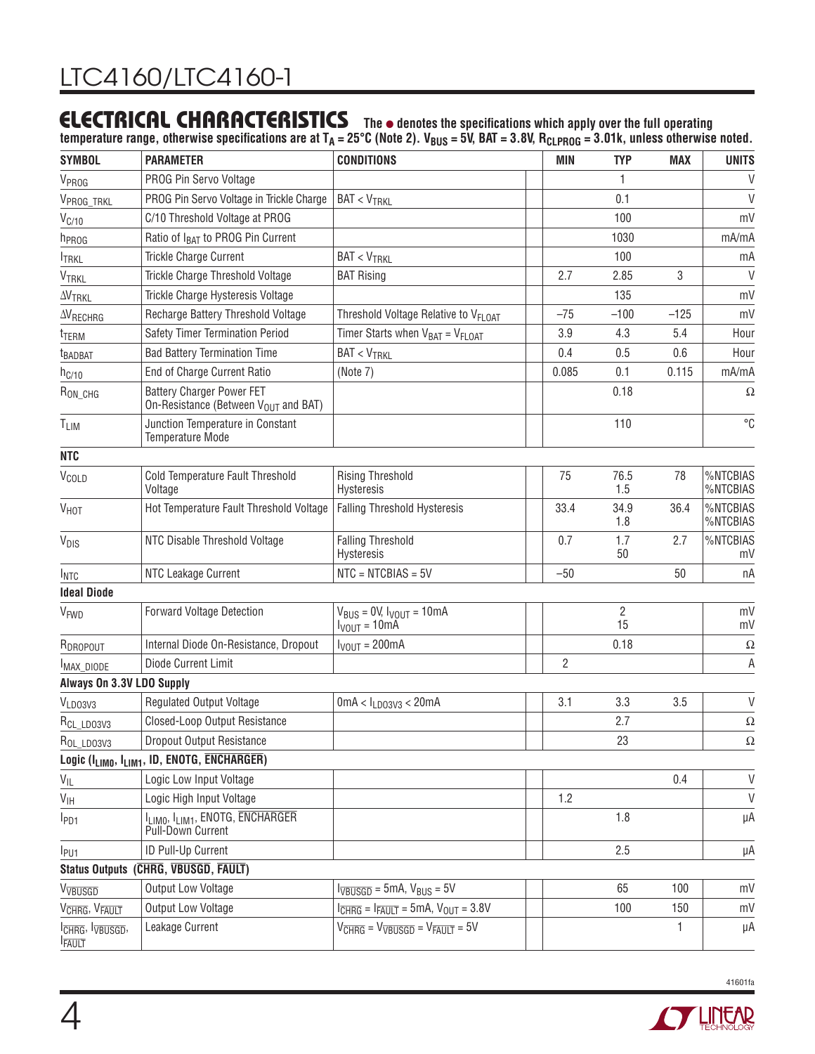### **ELECTRICAL CHARACTERISTICS** The  $\bullet$  denotes the specifications which apply over the full operating

temperature range, otherwise specifications are at T<sub>A</sub> = 25°C (Note 2). V<sub>BUS</sub> = 5V, BAT = 3.8V, R<sub>CLPROG</sub> = 3.01k, unless otherwise noted.

| <b>SYMBOL</b>                                | <b>PARAMETER</b>                                                                     | <b>CONDITIONS</b>                                                                              | <b>MIN</b>     | <b>TYP</b>           | <b>MAX</b> | <b>UNITS</b>         |
|----------------------------------------------|--------------------------------------------------------------------------------------|------------------------------------------------------------------------------------------------|----------------|----------------------|------------|----------------------|
| V <sub>PROG</sub>                            | PROG Pin Servo Voltage                                                               |                                                                                                |                | 1                    |            | V                    |
| V <sub>PROG_TRKL</sub>                       | PROG Pin Servo Voltage in Trickle Charge                                             | $BAT < V_{TRKL}$                                                                               |                | 0.1                  |            | $\vee$               |
| $V_{C/10}$                                   | C/10 Threshold Voltage at PROG                                                       |                                                                                                |                | 100                  |            | mV                   |
| h <sub>PROG</sub>                            | Ratio of I <sub>BAT</sub> to PROG Pin Current                                        |                                                                                                |                | 1030                 |            | mA/mA                |
| <b>I</b> TRKL                                | Trickle Charge Current                                                               | $BAT < V_{TRKL}$                                                                               |                | 100                  |            | mA                   |
| VTRKL                                        | Trickle Charge Threshold Voltage                                                     | <b>BAT Rising</b>                                                                              | 2.7            | 2.85                 | 3          | $\vee$               |
| <b>AVTRKL</b>                                | Trickle Charge Hysteresis Voltage                                                    |                                                                                                |                | 135                  |            | mV                   |
| $\Delta\!V_{RECHRG}$                         | Recharge Battery Threshold Voltage                                                   | Threshold Voltage Relative to VFLOAT                                                           | $-75$          | $-100$               | $-125$     | mV                   |
| t <sub>TERM</sub>                            | Safety Timer Termination Period                                                      | Timer Starts when $V_{BAT} = V_{FLOAT}$                                                        | 3.9            | 4.3                  | 5.4        | Hour                 |
| <b>t</b> BADBAT                              | <b>Bad Battery Termination Time</b>                                                  | $BAT < V_{TRKL}$                                                                               | 0.4            | 0.5                  | 0.6        | Hour                 |
| $h_{C/10}$                                   | End of Charge Current Ratio                                                          | (Note 7)                                                                                       | 0.085          | 0.1                  | 0.115      | mA/mA                |
| $R_{ON\_CHG}$                                | <b>Battery Charger Power FET</b><br>On-Resistance (Between V <sub>OUT</sub> and BAT) |                                                                                                |                | 0.18                 |            | Ω                    |
| T <sub>LIM</sub>                             | Junction Temperature in Constant<br><b>Temperature Mode</b>                          |                                                                                                |                | 110                  |            | °C                   |
| <b>NTC</b>                                   |                                                                                      |                                                                                                |                |                      |            |                      |
| V <sub>COLD</sub>                            | Cold Temperature Fault Threshold<br>Voltage                                          | <b>Rising Threshold</b><br>Hysteresis                                                          | 75             | 76.5<br>1.5          | 78         | %NTCBIAS<br>%NTCBIAS |
| V <sub>HOT</sub>                             | Hot Temperature Fault Threshold Voltage                                              | <b>Falling Threshold Hysteresis</b>                                                            | 33.4           | 34.9<br>1.8          | 36.4       | %NTCBIAS<br>%NTCBIAS |
| V <sub>DIS</sub>                             | NTC Disable Threshold Voltage                                                        | <b>Falling Threshold</b><br>Hysteresis                                                         | 0.7            | 1.7<br>50            | 2.7        | %NTCBIAS<br>mV       |
| <b>INTC</b>                                  | <b>NTC Leakage Current</b>                                                           | $NTC = NTCBIAS = 5V$                                                                           | $-50$          |                      | 50         | пA                   |
| <b>Ideal Diode</b>                           |                                                                                      |                                                                                                |                |                      |            |                      |
| V <sub>FWD</sub>                             | <b>Forward Voltage Detection</b>                                                     | $V_{BUS} = 0V$ , $V_{VOUT} = 10mA$<br>$VOUT = 10mA$                                            |                | $\overline{c}$<br>15 |            | mV<br>mV             |
| RDROPOUT                                     | Internal Diode On-Resistance, Dropout                                                | $I_{VOUT} = 200mA$                                                                             |                | 0.18                 |            | $\Omega$             |
| MAX_DIODE                                    | Diode Current Limit                                                                  |                                                                                                | $\overline{2}$ |                      |            | Α                    |
| Always On 3.3V LDO Supply                    |                                                                                      |                                                                                                |                |                      |            |                      |
| VLD03V3                                      | <b>Regulated Output Voltage</b>                                                      | $0$ mA < $I_{LD03V3}$ < 20mA                                                                   | 3.1            | 3.3                  | 3.5        | V                    |
| R <sub>CL_LDO3V3</sub>                       | Closed-Loop Output Resistance                                                        |                                                                                                |                | 2.7                  |            | $\Omega$             |
| ROL_LDO3V3                                   | Dropout Output Resistance                                                            |                                                                                                |                | 23                   |            | $\Omega$             |
|                                              | Logic (I <sub>LIMO</sub> , I <sub>LIM1</sub> , ID, ENOTG, ENCHARGER)                 |                                                                                                |                |                      |            |                      |
| $V_{IL}$                                     | Logic Low Input Voltage                                                              |                                                                                                |                |                      | 0.4        | $\sf V$              |
| $V_{\text{IH}}$                              | Logic High Input Voltage                                                             |                                                                                                | 1.2            |                      |            | $\vee$               |
| $I_{PD1}$                                    | ILIMO, ILIM1, ENOTG, ENCHARGER<br>Pull-Down Current                                  |                                                                                                |                | 1.8                  |            | μA                   |
| l <sub>PU1</sub>                             | ID Pull-Up Current                                                                   |                                                                                                |                | 2.5                  |            | μA                   |
|                                              | Status Outputs (CHRG, VBUSGD, FAULT)                                                 |                                                                                                |                |                      |            |                      |
| VVBUSGD                                      | Output Low Voltage                                                                   | $l_{\overline{VB} \overline{USGD}} = 5mA$ , $V_{\text{BUS}} = 5V$                              |                | 65                   | 100        | mV                   |
| V <sub>CHRG</sub> , V <sub>FAULT</sub>       | Output Low Voltage                                                                   | $I_{\overline{CHRG}} = I_{\overline{FAULT}} = 5 \text{mA}, V_{\text{OUT}} = 3.8 \text{V}$      |                | 100                  | 150        | mV                   |
| I <sub>CHRG</sub> , Ivbusgd,<br><b>FAULT</b> | Leakage Current                                                                      | $V_{\overline{\text{CHRG}}} = V_{\overline{\text{VBUSGD}}} = V_{\overline{\text{FAULT}}} = 5V$ |                |                      | 1          | μA                   |

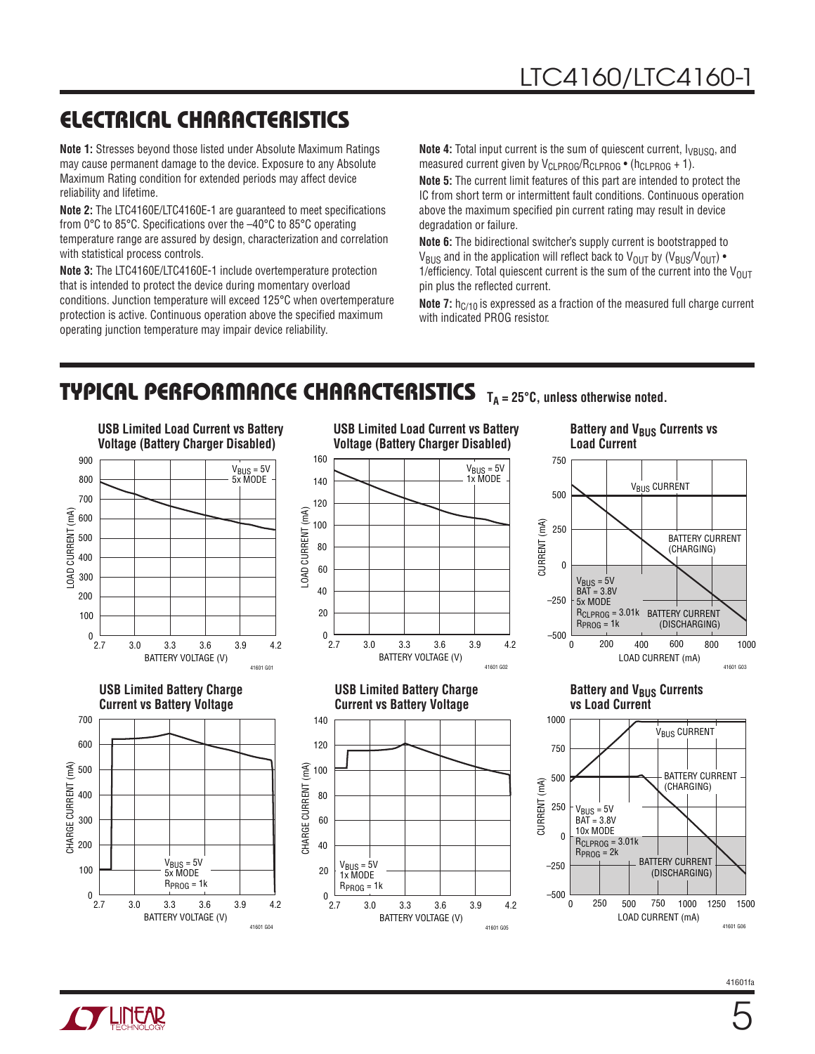### ELECTRICAL CHARACTERISTICS

**Note 1:** Stresses beyond those listed under Absolute Maximum Ratings may cause permanent damage to the device. Exposure to any Absolute Maximum Rating condition for extended periods may affect device reliability and lifetime.

**Note 2:** The LTC4160E/LTC4160E-1 are guaranteed to meet specifications from 0°C to 85°C. Specifications over the –40°C to 85°C operating temperature range are assured by design, characterization and correlation with statistical process controls.

**Note 3:** The LTC4160E/LTC4160E-1 include overtemperature protection that is intended to protect the device during momentary overload conditions. Junction temperature will exceed 125°C when overtemperature protection is active. Continuous operation above the specified maximum operating junction temperature may impair device reliability.

**Note 4:** Total input current is the sum of quiescent current,  $V_{\text{BUSQ}}$ , and measured current given by  $V_{CLPROG}/R_{CLPROG}$  • (h<sub>CLPROG</sub> + 1).

**Note 5:** The current limit features of this part are intended to protect the IC from short term or intermittent fault conditions. Continuous operation above the maximum specified pin current rating may result in device degradation or failure.

**Note 6:** The bidirectional switcher's supply current is bootstrapped to V<sub>BUS</sub> and in the application will reflect back to V<sub>OUT</sub> by (V<sub>BUS</sub>/V<sub>OUT</sub>) • 1/efficiency. Total quiescent current is the sum of the current into the  $V_{\text{OUT}}$ pin plus the reflected current.

**Note 7:** h<sub>C/10</sub> is expressed as a fraction of the measured full charge current with indicated PROG resistor.

### TYPICAL PERFORMANCE CHARACTERISTICS T<sub>A</sub> = 25°C, unless otherwise noted.

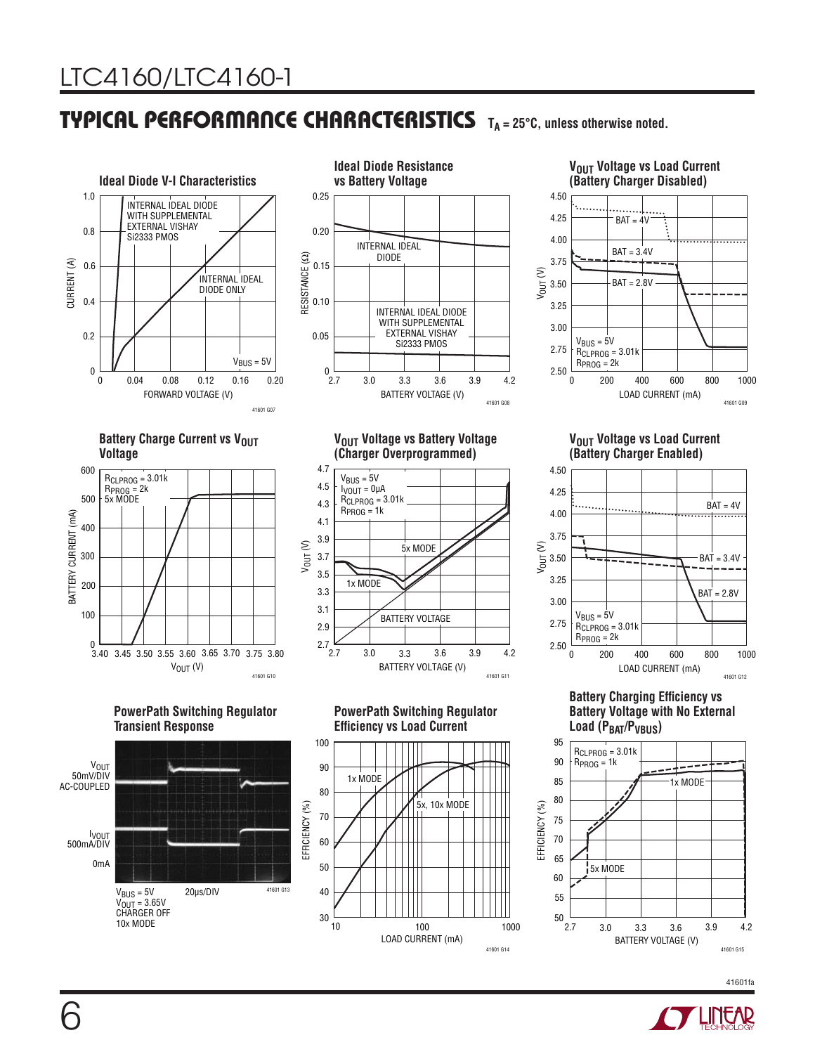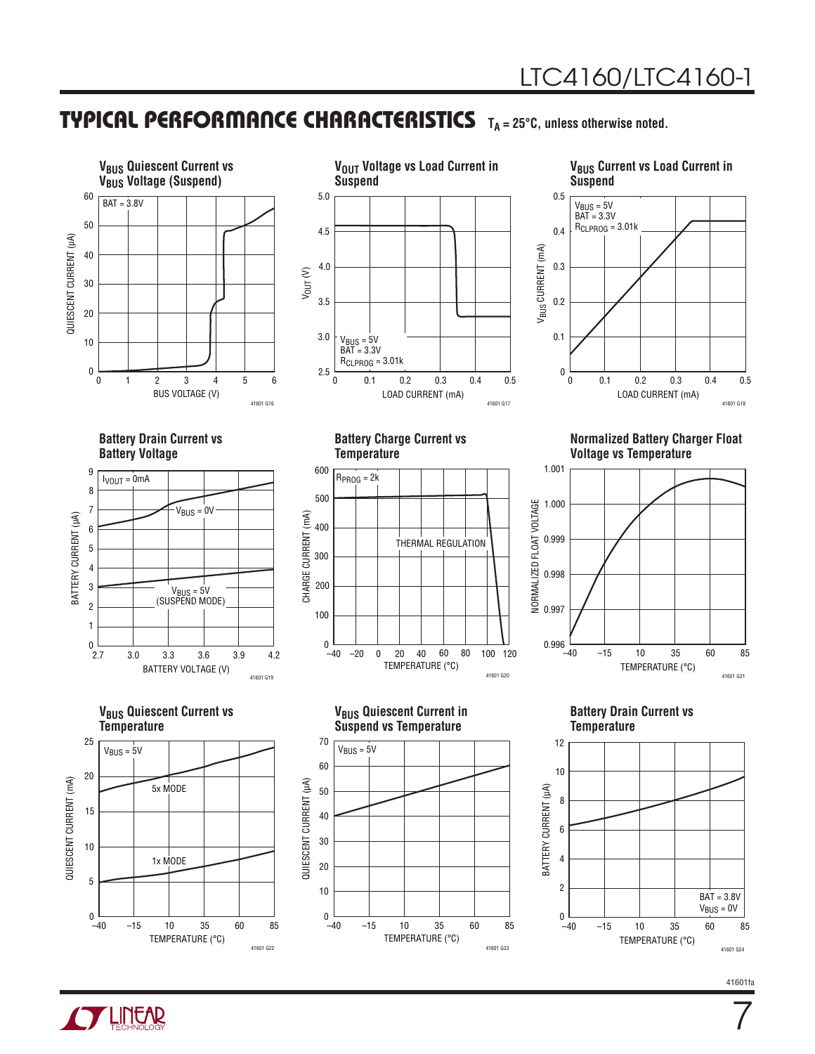

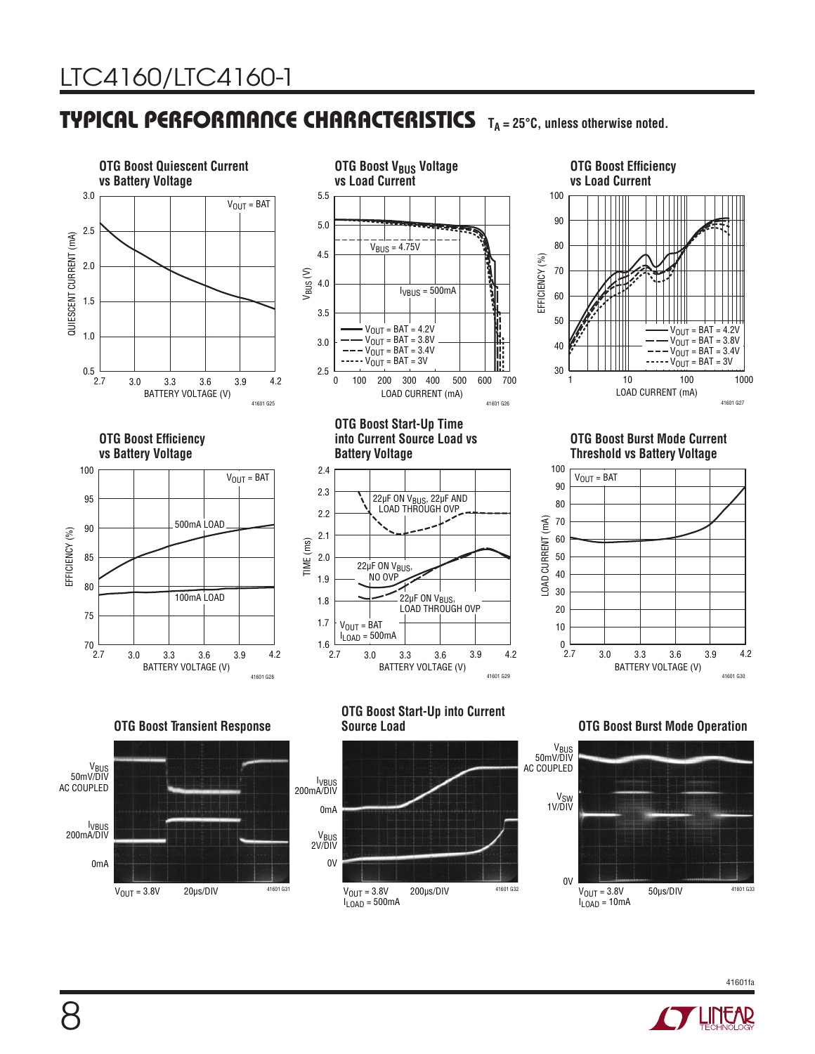

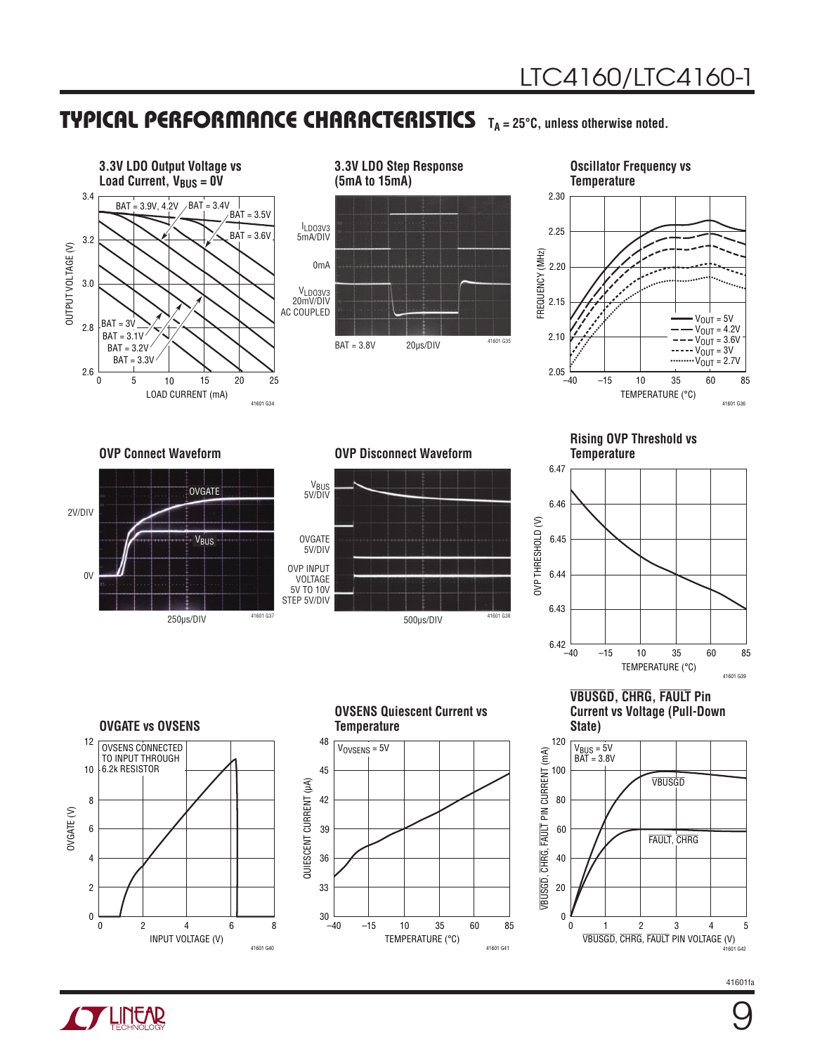



#### **Oscillator Frequency vs**



**OVP Connect Waveform OVP Disconnect Waveform**





**Rising OVP Threshold vs Temperature**



**OVGATE vs OVSENS**





TEMPERATURE (°C)

–15 10 35 85

60

41601 G41

–40

30

**VBUSGD, CHRG, FAULT Pin Current vs Voltage (Pull-Down** 



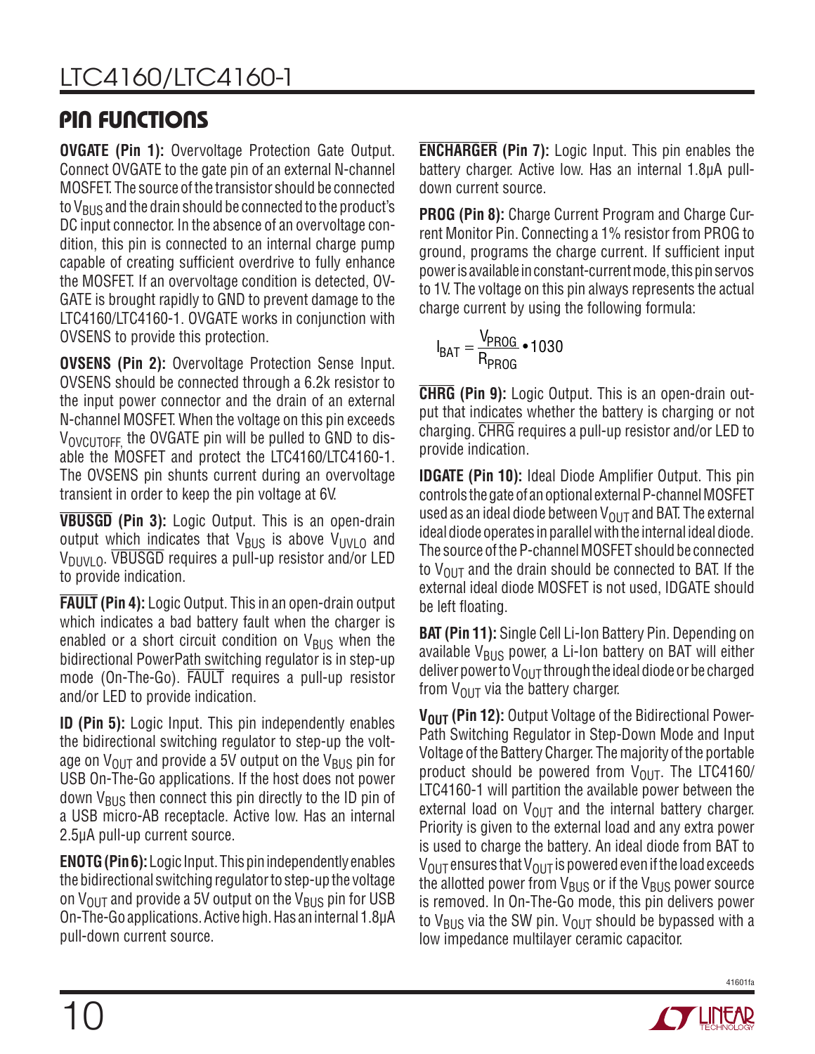### PIN FUNCTIONS

**OVGATE (Pin 1):** Overvoltage Protection Gate Output. Connect OVGATE to the gate pin of an external N-channel MOSFET. The source of the transistor should be connected to  $V_{BUS}$  and the drain should be connected to the product's DC input connector. In the absence of an overvoltage condition, this pin is connected to an internal charge pump capable of creating sufficient overdrive to fully enhance the MOSFET. If an overvoltage condition is detected, OV-GATE is brought rapidly to GND to prevent damage to the LTC4160/LTC4160-1. OVGATE works in conjunction with OVSENS to provide this protection.

**OVSENS (Pin 2):** Overvoltage Protection Sense Input. OVSENS should be connected through a 6.2k resistor to the input power connector and the drain of an external N-channel MOSFET. When the voltage on this pin exceeds  $V_{\text{ONCLITOFF}}$  the OVGATE pin will be pulled to GND to disable the MOSFET and protect the LTC4160/LTC4160-1. The OVSENS pin shunts current during an overvoltage transient in order to keep the pin voltage at 6V.

**VBUSGD (Pin 3):** Logic Output. This is an open-drain output which indicates that  $V_{BUS}$  is above  $V_{UVLO}$  and  $V_{\text{DIVI}}$   $_0$ . VBUSGD requires a pull-up resistor and/or LED to provide indication.

**FAULT (Pin 4):** Logic Output. This in an open-drain output which indicates a bad battery fault when the charger is enabled or a short circuit condition on  $V_{\text{BUS}}$  when the bidirectional PowerPath switching regulator is in step-up mode (On-The-Go). FAULT requires a pull-up resistor and/or LED to provide indication.

**ID (Pin 5):** Logic Input. This pin independently enables the bidirectional switching regulator to step-up the voltage on  $V_{\text{OUT}}$  and provide a 5V output on the  $V_{\text{BUS}}$  pin for USB On-The-Go applications. If the host does not power down  $V_{BUS}$  then connect this pin directly to the ID pin of a USB micro-AB receptacle. Active low. Has an internal 2.5µA pull-up current source.

**ENOTG (Pin 6):** Logic Input. This pin independently enables the bidirectional switching regulator to step-up the voltage on  $V_{\text{OUT}}$  and provide a 5V output on the  $V_{\text{BUS}}$  pin for USB On-The-Go applications. Active high. Has an internal 1.8µA pull-down current source.

**ENCHARGER (Pin 7):** Logic Input. This pin enables the battery charger. Active low. Has an internal 1.8µA pulldown current source.

**PROG (Pin 8):** Charge Current Program and Charge Current Monitor Pin. Connecting a 1% resistor from PROG to ground, programs the charge current. If sufficient input power is available in constant-current mode, this pin servos to 1V. The voltage on this pin always represents the actual charge current by using the following formula:

$$
I_{BAT} = \frac{V_{PROG}}{R_{PROG}} \cdot 1030
$$

**CHRG (Pin 9):** Logic Output. This is an open-drain output that indicates whether the battery is charging or not charging. CHRG requires a pull-up resistor and/or LED to provide indication.

**IDGATE (Pin 10):** Ideal Diode Amplifier Output. This pin controls the gate of an optional external P-channel MOSFET used as an ideal diode between  $V_{\text{OUT}}$  and BAT. The external ideal diode operates in parallel with the internal ideal diode. The source of the P-channel MOSFET should be connected to  $V_{\text{OUT}}$  and the drain should be connected to BAT. If the external ideal diode MOSFET is not used, IDGATE should be left floating.

**BAT (Pin 11):** Single Cell Li-Ion Battery Pin. Depending on available  $V_{\rm BUS}$  power, a Li-Ion battery on BAT will either deliver power to  $V_{\text{OUT}}$  through the ideal diode or be charged from  $V_{\text{OUT}}$  via the battery charger.

**V<sub>OUT</sub> (Pin 12):** Output Voltage of the Bidirectional Power-Path Switching Regulator in Step-Down Mode and Input Voltage of the Battery Charger. The majority of the portable product should be powered from  $V_{\text{OUT}}$ . The LTC4160/ LTC4160-1 will partition the available power between the external load on  $V_{\text{OUT}}$  and the internal battery charger. Priority is given to the external load and any extra power is used to charge the battery. An ideal diode from BAT to  $V_{\text{OUT}}$  ensures that  $V_{\text{OUT}}$  is powered even if the load exceeds the allotted power from  $V_{BUS}$  or if the  $V_{BUS}$  power source is removed. In On-The-Go mode, this pin delivers power to V<sub>BUS</sub> via the SW pin. V<sub>OUT</sub> should be bypassed with a low impedance multilayer ceramic capacitor.

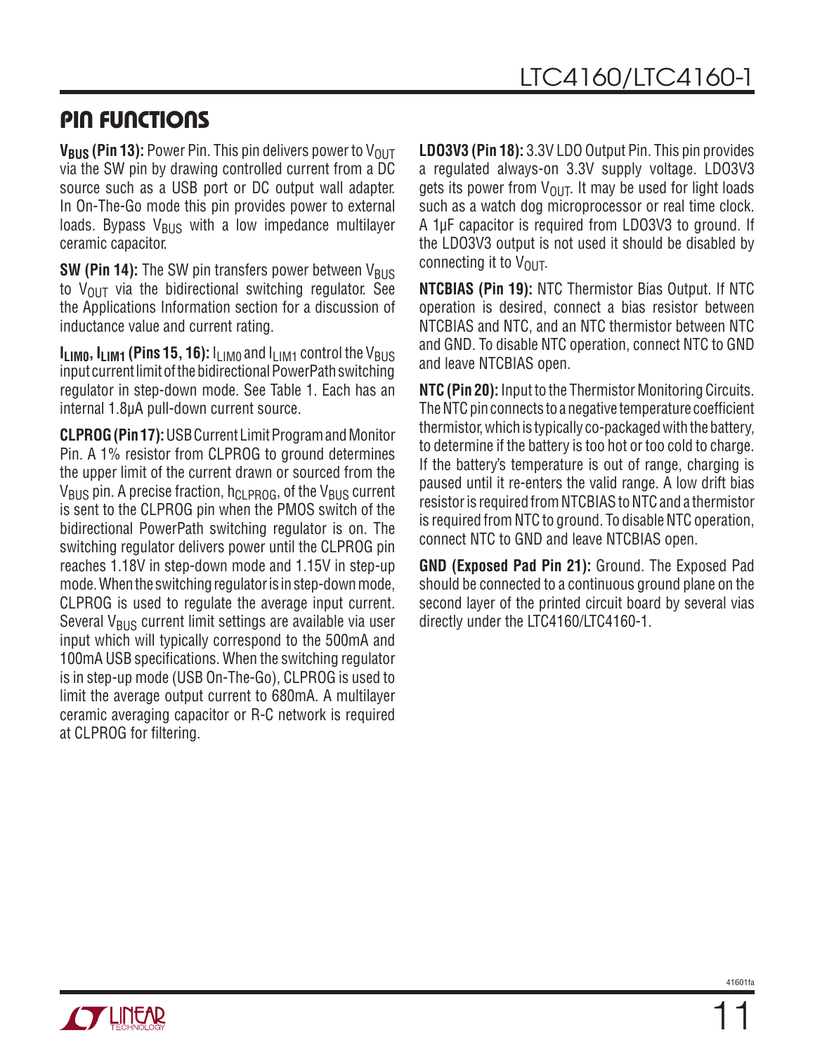### PIN FUNCTIONS

**V<sub>BUS</sub> (Pin 13):** Power Pin. This pin delivers power to V<sub>OUT</sub> via the SW pin by drawing controlled current from a DC source such as a USB port or DC output wall adapter. In On-The-Go mode this pin provides power to external loads. Bypass  $V_{BUS}$  with a low impedance multilayer ceramic capacitor.

**SW (Pin 14):** The SW pin transfers power between V<sub>BUS</sub> to  $V_{\text{OUT}}$  via the bidirectional switching regulator. See the Applications Information section for a discussion of inductance value and current rating.

 $I<sub>LIM0</sub>, I<sub>LIM1</sub>$  (Pins 15, 16):  $I<sub>LIM0</sub>$  and  $I<sub>LIM1</sub>$  control the V<sub>BUS</sub> input current limit of the bidirectional PowerPath switching regulator in step-down mode. See Table 1. Each has an internal 1.8µA pull-down current source.

**CLPROG (Pin 17):** USB Current Limit Program and Monitor Pin. A 1% resistor from CLPROG to ground determines the upper limit of the current drawn or sourced from the  $V_{\text{BUS}}$  pin. A precise fraction,  $h_{\text{CI-PROG}}$ , of the  $V_{\text{BUS}}$  current is sent to the CLPROG pin when the PMOS switch of the bidirectional PowerPath switching regulator is on. The switching regulator delivers power until the CLPROG pin reaches 1.18V in step-down mode and 1.15V in step-up mode. When the switching regulator is in step-down mode, CLPROG is used to regulate the average input current. Several  $V_{BUS}$  current limit settings are available via user input which will typically correspond to the 500mA and 100mA USB specifications. When the switching regulator is in step-up mode (USB On-The-Go), CLPROG is used to limit the average output current to 680mA. A multilayer ceramic averaging capacitor or R-C network is required at CLPROG for filtering.

**LDO3V3 (Pin 18):** 3.3V LDO Output Pin. This pin provides a regulated always-on 3.3V supply voltage. LDO3V3 gets its power from  $V_{\text{OUT}}$ . It may be used for light loads such as a watch dog microprocessor or real time clock. A 1µF capacitor is required from LDO3V3 to ground. If the LDO3V3 output is not used it should be disabled by connecting it to  $V_{\text{OUT}}$ .

**NTCBIAS (Pin 19):** NTC Thermistor Bias Output. If NTC operation is desired, connect a bias resistor between NTCBIAS and NTC, and an NTC thermistor between NTC and GND. To disable NTC operation, connect NTC to GND and leave NTCBIAS open.

**NTC (Pin 20):** Input to the Thermistor Monitoring Circuits. The NTC pin connects to a negative temperature coefficient thermistor, which is typically co-packaged with the battery, to determine if the battery is too hot or too cold to charge. If the battery's temperature is out of range, charging is paused until it re-enters the valid range. A low drift bias resistor is required from NTCBIAS to NTC and a thermistor is required from NTC to ground. To disable NTC operation, connect NTC to GND and leave NTCBIAS open.

**GND (Exposed Pad Pin 21):** Ground. The Exposed Pad should be connected to a continuous ground plane on the second layer of the printed circuit board by several vias directly under the LTC4160/LTC4160-1.

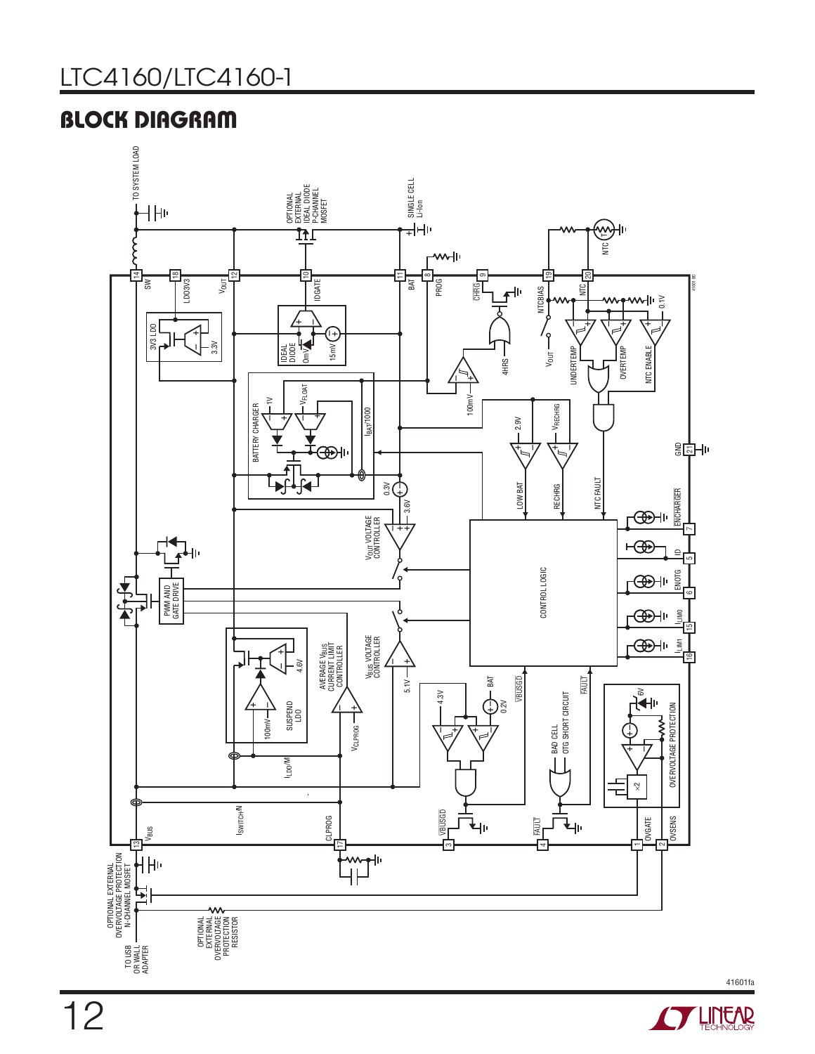### BLOCK DIAGRAM





12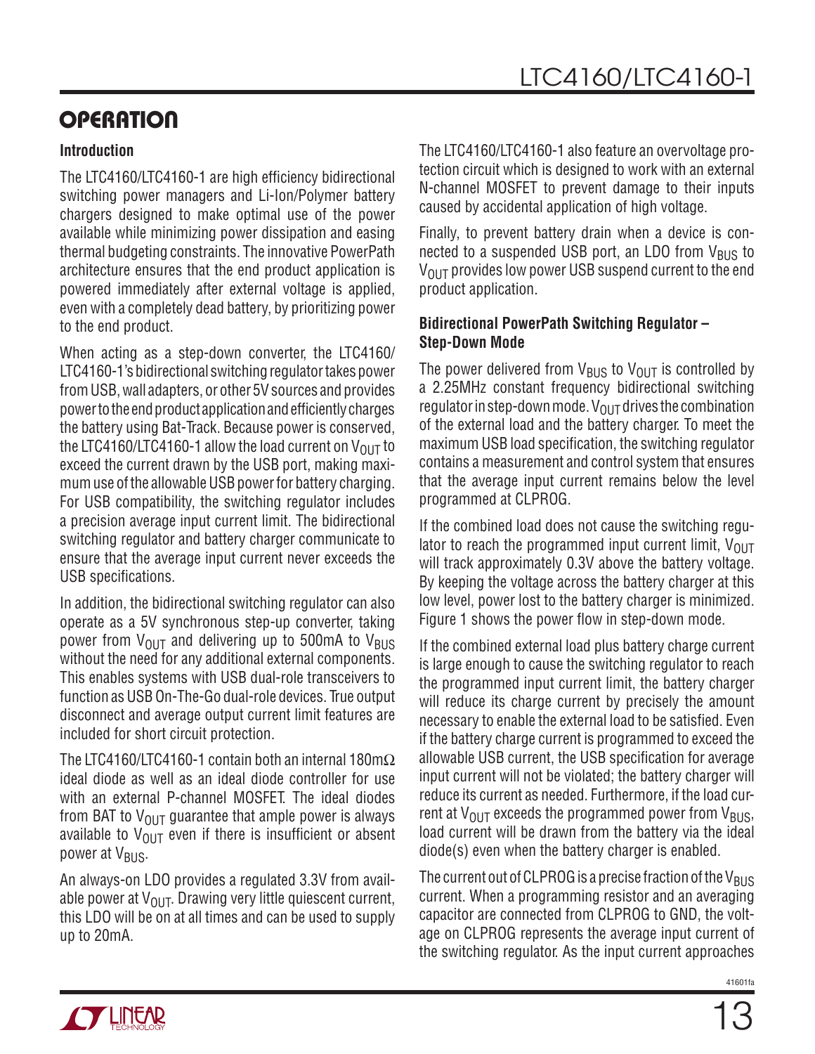#### **Introduction**

The LTC4160/LTC4160-1 are high efficiency bidirectional switching power managers and Li-Ion/Polymer battery chargers designed to make optimal use of the power available while minimizing power dissipation and easing thermal budgeting constraints. The innovative PowerPath architecture ensures that the end product application is powered immediately after external voltage is applied, even with a completely dead battery, by prioritizing power to the end product.

When acting as a step-down converter, the LTC4160/ LTC4160-1's bidirectional switching regulator takes power from USB, wall adapters, or other 5V sources and provides power to the end product application and efficiently charges the battery using Bat-Track. Because power is conserved, the LTC4160/LTC4160-1 allow the load current on  $V_{OUT}$  to exceed the current drawn by the USB port, making maximum use of the allowable USB power for battery charging. For USB compatibility, the switching regulator includes a precision average input current limit. The bidirectional switching regulator and battery charger communicate to ensure that the average input current never exceeds the USB specifications.

In addition, the bidirectional switching regulator can also operate as a 5V synchronous step-up converter, taking power from  $V_{OIII}$  and delivering up to 500mA to  $V_{BUS}$ without the need for any additional external components. This enables systems with USB dual-role transceivers to function as USB On-The-Go dual-role devices. True output disconnect and average output current limit features are included for short circuit protection.

The LTC4160/LTC4160-1 contain both an internal 180m $\Omega$ ideal diode as well as an ideal diode controller for use with an external P-channel MOSFET. The ideal diodes from BAT to  $V_{OIIT}$  guarantee that ample power is always available to  $V_{\text{OUT}}$  even if there is insufficient or absent power at V<sub>BUS</sub>.

An always-on LDO provides a regulated 3.3V from available power at  $V_{OUT}$ . Drawing very little quiescent current, this LDO will be on at all times and can be used to supply up to 20mA.

The LTC4160/LTC4160-1 also feature an overvoltage protection circuit which is designed to work with an external N-channel MOSFET to prevent damage to their inputs caused by accidental application of high voltage.

Finally, to prevent battery drain when a device is connected to a suspended USB port, an LDO from  $V_{\text{BUS}}$  to  $V_{\text{OUT}}$  provides low power USB suspend current to the end product application.

#### **Bidirectional PowerPath Switching Regulator – Step-Down Mode**

The power delivered from  $V_{\text{RIS}}$  to  $V_{\text{OUT}}$  is controlled by a 2.25MHz constant frequency bidirectional switching regulator in step-down mode.  $V_{\text{OUT}}$  drives the combination of the external load and the battery charger. To meet the maximum USB load specification, the switching regulator contains a measurement and control system that ensures that the average input current remains below the level programmed at CLPROG.

If the combined load does not cause the switching regulator to reach the programmed input current limit,  $V_{OUT}$ will track approximately 0.3V above the battery voltage. By keeping the voltage across the battery charger at this low level, power lost to the battery charger is minimized. Figure 1 shows the power flow in step-down mode.

If the combined external load plus battery charge current is large enough to cause the switching regulator to reach the programmed input current limit, the battery charger will reduce its charge current by precisely the amount necessary to enable the external load to be satisfied. Even if the battery charge current is programmed to exceed the allowable USB current, the USB specification for average input current will not be violated; the battery charger will reduce its current as needed. Furthermore, if the load current at  $V_{OIII}$  exceeds the programmed power from  $V_{BUS}$ , load current will be drawn from the battery via the ideal diode(s) even when the battery charger is enabled.

The current out of CLPROG is a precise fraction of the  $V_{BUS}$ current. When a programming resistor and an averaging capacitor are connected from CLPROG to GND, the voltage on CLPROG represents the average input current of the switching regulator. As the input current approaches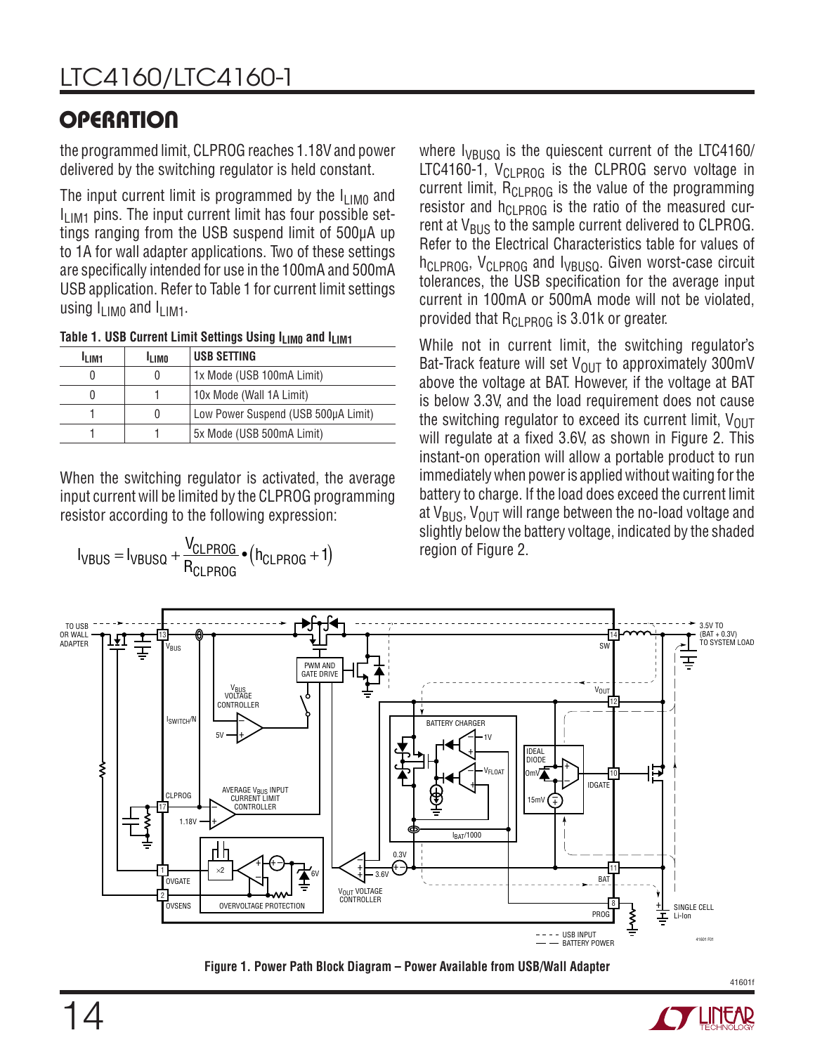the programmed limit, CLPROG reaches 1.18V and power delivered by the switching regulator is held constant.

The input current limit is programmed by the  $I_{LIM0}$  and  $I<sub>LIM1</sub>$  pins. The input current limit has four possible settings ranging from the USB suspend limit of 500μA up to 1A for wall adapter applications. Two of these settings are specifically intended for use in the 100mA and 500mA USB application. Refer to Table 1 for current limit settings using  $I_{\text{LIMO}}$  and  $I_{\text{LIM1}}$ .

Table 1. USB Current Limit Settings Using I<sub>LIM0</sub> and I<sub>LIM1</sub>

| <b>LIM1</b> | <sup>I</sup> LIMO | USB SETTING                         |
|-------------|-------------------|-------------------------------------|
|             |                   | 1x Mode (USB 100mA Limit)           |
|             |                   | 10x Mode (Wall 1A Limit)            |
|             |                   | Low Power Suspend (USB 500µA Limit) |
|             |                   | 5x Mode (USB 500mA Limit)           |

When the switching regulator is activated, the average input current will be limited by the CLPROG programming resistor according to the following expression:

$$
I_{VBUS} = I_{VBUSQ} + \frac{V_{CLPROG}}{R_{CLPROG}} \cdot (h_{CLPROG} + 1)
$$

where  $I_{VBUSQ}$  is the quiescent current of the LTC4160/ LTC4160-1,  $V_{CI\ PROG}$  is the CLPROG servo voltage in current limit,  $R_{CI\,PROG}$  is the value of the programming resistor and  $h_{CLPROG}$  is the ratio of the measured current at  $V_{BUS}$  to the sample current delivered to CLPROG. Refer to the Electrical Characteristics table for values of h<sub>CLPROG</sub>, V<sub>CLPROG</sub> and I<sub>VBUSQ</sub>. Given worst-case circuit tolerances, the USB specification for the average input current in 100mA or 500mA mode will not be violated, provided that  $R_{CI\ PROG}$  is 3.01k or greater.

While not in current limit, the switching regulator's Bat-Track feature will set  $V_{OUT}$  to approximately 300mV above the voltage at BAT. However, if the voltage at BAT is below 3.3V, and the load requirement does not cause the switching regulator to exceed its current limit,  $V_{\text{OUT}}$ will regulate at a fixed 3.6V, as shown in Figure 2. This instant-on operation will allow a portable product to run immediately when power is applied without waiting for the battery to charge. If the load does exceed the current limit at  $V_{BUS}$ ,  $V_{OUT}$  will range between the no-load voltage and slightly below the battery voltage, indicated by the shaded region of Figure 2.



**Figure 1. Power Path Block Diagram – Power Available from USB/Wall Adapter**



41601f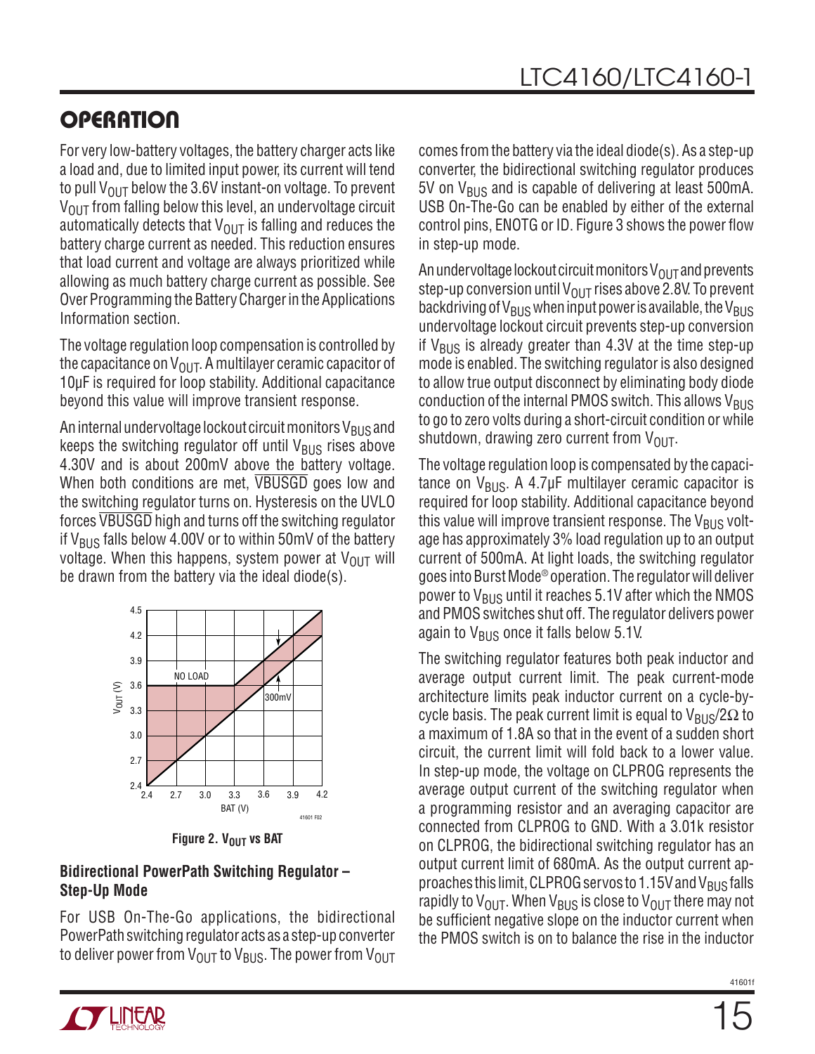For very low-battery voltages, the battery charger acts like a load and, due to limited input power, its current will tend to pull  $V_{\text{OUT}}$  below the 3.6V instant-on voltage. To prevent  $V_{\text{OUT}}$  from falling below this level, an undervoltage circuit automatically detects that  $V_{\text{OUT}}$  is falling and reduces the battery charge current as needed. This reduction ensures that load current and voltage are always prioritized while allowing as much battery charge current as possible. See Over Programming the Battery Charger in the Applications Information section.

The voltage regulation loop compensation is controlled by the capacitance on  $V_{\text{OUT}}$ . A multilayer ceramic capacitor of 10µF is required for loop stability. Additional capacitance beyond this value will improve transient response.

An internal undervoltage lockout circuit monitors  $V_{BUS}$  and keeps the switching regulator off until  $V_{BUS}$  rises above 4.30V and is about 200mV above the battery voltage. When both conditions are met, VBUSGD goes low and the switching regulator turns on. Hysteresis on the UVLO forces VBUSGD high and turns off the switching regulator if  $V_{BUS}$  falls below 4.00V or to within 50mV of the battery voltage. When this happens, system power at  $V_{OUT}$  will be drawn from the battery via the ideal diode(s).



**Figure 2. V<sub>OUT</sub> vs BAT** 

#### **Bidirectional PowerPath Switching Regulator – Step-Up Mode**

For USB On-The-Go applications, the bidirectional PowerPath switching regulator acts as a step-up converter to deliver power from  $V_{\text{OUT}}$  to  $V_{\text{BUS}}$ . The power from  $V_{\text{OUT}}$  comes from the battery via the ideal diode(s). As a step-up converter, the bidirectional switching regulator produces  $5V$  on  $V_{BUS}$  and is capable of delivering at least 500mA. USB On-The-Go can be enabled by either of the external control pins, ENOTG or ID. Figure 3 shows the power flow in step-up mode.

An undervoltage lockout circuit monitors  $V_{\Omega I|T}$  and prevents step-up conversion until  $V_{OUT}$  rises above 2.8V. To prevent backdriving of  $V_{BUS}$  when input power is available, the  $V_{BUS}$ undervoltage lockout circuit prevents step-up conversion if  $V_{\rm BUS}$  is already greater than 4.3V at the time step-up mode is enabled. The switching regulator is also designed to allow true output disconnect by eliminating body diode conduction of the internal PMOS switch. This allows  $V_{\text{BUS}}$ to go to zero volts during a short-circuit condition or while shutdown, drawing zero current from  $V_{\text{OUT}}$ .

The voltage regulation loop is compensated by the capacitance on  $V_{BUS}$ . A 4.7µF multilayer ceramic capacitor is required for loop stability. Additional capacitance beyond this value will improve transient response. The  $V_{\rm BUS}$  voltage has approximately 3% load regulation up to an output current of 500mA. At light loads, the switching regulator goes into Burst Mode® operation. The regulator will deliver power to  $V_{BUS}$  until it reaches 5.1V after which the NMOS and PMOS switches shut off. The regulator delivers power again to  $V_{\text{BUS}}$  once it falls below 5.1V.

The switching regulator features both peak inductor and average output current limit. The peak current-mode architecture limits peak inductor current on a cycle-bycycle basis. The peak current limit is equal to  $V_{\rm BUS}/2\Omega$  to a maximum of 1.8A so that in the event of a sudden short circuit, the current limit will fold back to a lower value. In step-up mode, the voltage on CLPROG represents the average output current of the switching regulator when a programming resistor and an averaging capacitor are connected from CLPROG to GND. With a 3.01k resistor on CLPROG, the bidirectional switching regulator has an output current limit of 680mA. As the output current approaches this limit, CLPROG servos to 1.15V and  $V_{BUS}$  falls rapidly to  $V_{\text{OUT}}$ . When  $V_{\text{RUS}}$  is close to  $V_{\text{OUT}}$  there may not be sufficient negative slope on the inductor current when the PMOS switch is on to balance the rise in the inductor

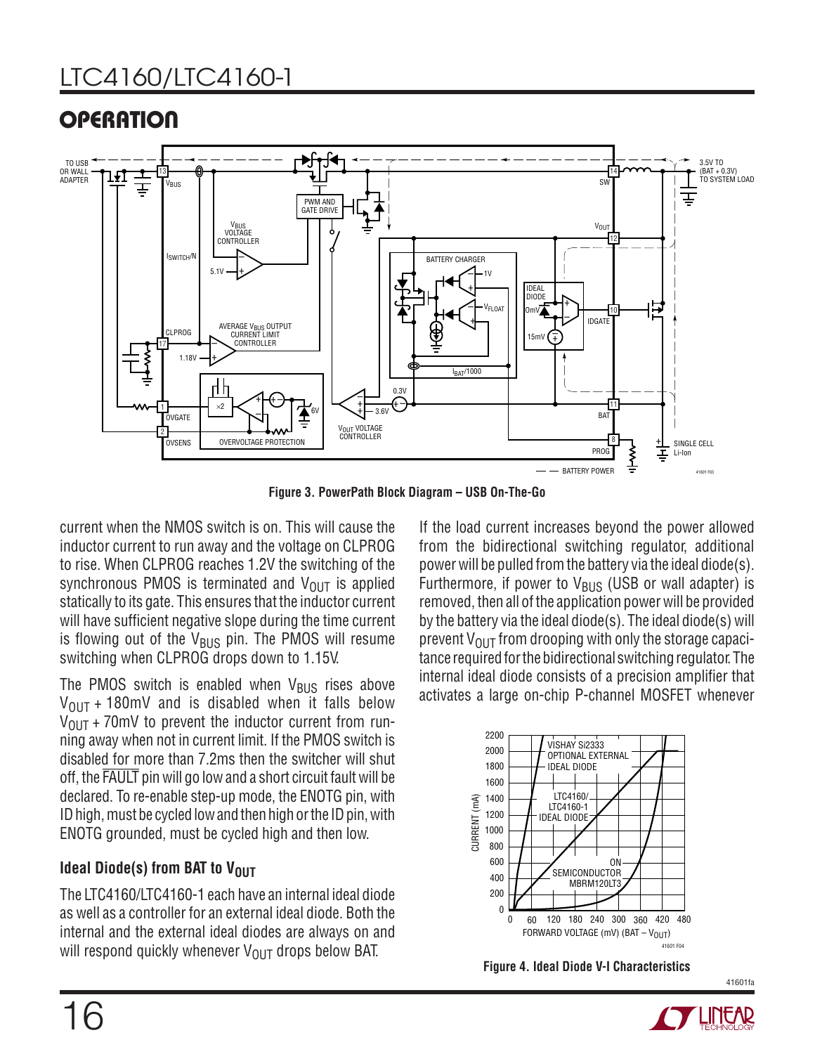### LTC4160/LTC4160-1

### **OPERATION**



**Figure 3. PowerPath Block Diagram – USB On-The-Go**

current when the NMOS switch is on. This will cause the inductor current to run away and the voltage on CLPROG to rise. When CLPROG reaches 1.2V the switching of the synchronous PMOS is terminated and  $V_{OUT}$  is applied statically to its gate. This ensures that the inductor current will have sufficient negative slope during the time current is flowing out of the  $V_{BUS}$  pin. The PMOS will resume switching when CLPROG drops down to 1.15V.

The PMOS switch is enabled when  $V_{\text{BUS}}$  rises above  $V_{\text{OUT}}$  + 180mV and is disabled when it falls below  $V_{\text{OUT}}$  + 70mV to prevent the inductor current from running away when not in current limit. If the PMOS switch is disabled for more than 7.2ms then the switcher will shut off, the FAULT pin will go low and a short circuit fault will be declared. To re-enable step-up mode, the ENOTG pin, with ID high, must be cycled low and then high or the ID pin, with ENOTG grounded, must be cycled high and then low.

#### **Ideal Diode(s) from BAT to VOUT**

The LTC4160/LTC4160-1 each have an internal ideal diode as well as a controller for an external ideal diode. Both the internal and the external ideal diodes are always on and will respond quickly whenever  $V_{\text{OUT}}$  drops below BAT.

If the load current increases beyond the power allowed from the bidirectional switching regulator, additional power will be pulled from the battery via the ideal diode(s). Furthermore, if power to  $V_{\text{BUS}}$  (USB or wall adapter) is removed, then all of the application power will be provided by the battery via the ideal diode(s). The ideal diode(s) will prevent  $V_{\text{OUT}}$  from drooping with only the storage capacitance required for the bidirectional switching regulator. The internal ideal diode consists of a precision amplifier that activates a large on-chip P-channel MOSFET whenever



**Figure 4. Ideal Diode V-I Characteristics**

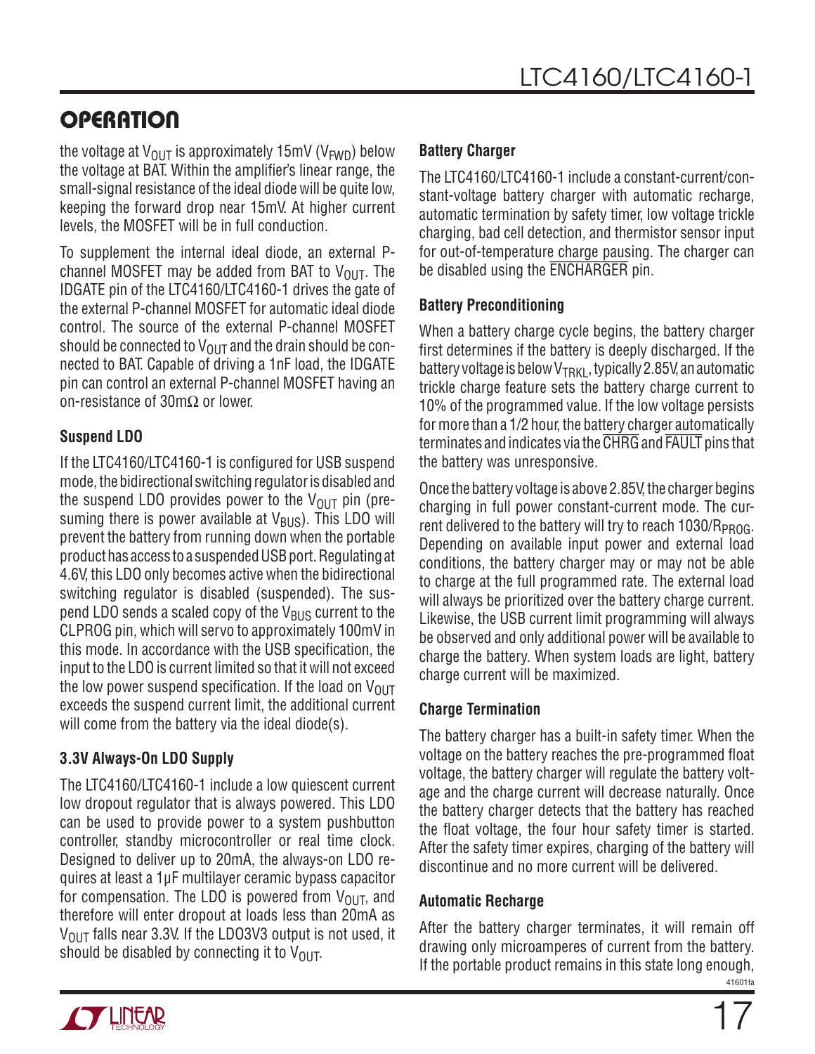the voltage at  $V_{\text{OUT}}$  is approximately 15mV (V<sub>FWD</sub>) below the voltage at BAT. Within the amplifier's linear range, the small-signal resistance of the ideal diode will be quite low, keeping the forward drop near 15mV. At higher current levels, the MOSFET will be in full conduction.

To supplement the internal ideal diode, an external Pchannel MOSFET may be added from BAT to  $V_{OUT}$ . The IDGATE pin of the LTC4160/LTC4160-1 drives the gate of the external P-channel MOSFET for automatic ideal diode control. The source of the external P-channel MOSFET should be connected to  $V_{\text{OUT}}$  and the drain should be connected to BAT. Capable of driving a 1nF load, the IDGATE pin can control an external P-channel MOSFET having an on-resistance of 30mΩ or lower.

#### **Suspend LDO**

If the LTC4160/LTC4160-1 is configured for USB suspend mode, the bidirectional switching regulator is disabled and the suspend LDO provides power to the  $V_{\text{OUT}}$  pin (presuming there is power available at  $V_{BUS}$ ). This LDO will prevent the battery from running down when the portable product has access to a suspended USB port. Regulating at 4.6V, this LDO only becomes active when the bidirectional switching regulator is disabled (suspended). The suspend LDO sends a scaled copy of the  $V_{\rm BUS}$  current to the CLPROG pin, which will servo to approximately 100mV in this mode. In accordance with the USB specification, the input to the LDO is current limited so that it will not exceed the low power suspend specification. If the load on  $V_{\text{OUT}}$ exceeds the suspend current limit, the additional current will come from the battery via the ideal diode(s).

#### **3.3V Always-On LDO Supply**

The LTC4160/LTC4160-1 include a low quiescent current low dropout regulator that is always powered. This LDO can be used to provide power to a system pushbutton controller, standby microcontroller or real time clock. Designed to deliver up to 20mA, the always-on LDO requires at least a 1μF multilayer ceramic bypass capacitor for compensation. The LDO is powered from  $V_{\text{OUT}}$ , and therefore will enter dropout at loads less than 20mA as  $V_{\text{OUT}}$  falls near 3.3V. If the LDO3V3 output is not used, it should be disabled by connecting it to  $V_{\text{OUT}}$ .

#### **Battery Charger**

The LTC4160/LTC4160-1 include a constant-current/constant-voltage battery charger with automatic recharge, automatic termination by safety timer, low voltage trickle charging, bad cell detection, and thermistor sensor input for out-of-temperature charge pausing. The charger can be disabled using the ENCHARGER pin.

#### **Battery Preconditioning**

When a battery charge cycle begins, the battery charger first determines if the battery is deeply discharged. If the battery voltage is below  $V_{\text{TRK1}}$ , typically 2.85V, an automatic trickle charge feature sets the battery charge current to 10% of the programmed value. If the low voltage persists for more than a 1/2 hour, the battery charger automatically terminates and indicates via the CHRG and FAULT pins that the battery was unresponsive.

Once the battery voltage is above 2.85V, the charger begins charging in full power constant-current mode. The current delivered to the battery will try to reach  $1030/R_{PROG}$ . Depending on available input power and external load conditions, the battery charger may or may not be able to charge at the full programmed rate. The external load will always be prioritized over the battery charge current. Likewise, the USB current limit programming will always be observed and only additional power will be available to charge the battery. When system loads are light, battery charge current will be maximized.

#### **Charge Termination**

The battery charger has a built-in safety timer. When the voltage on the battery reaches the pre-programmed float voltage, the battery charger will regulate the battery voltage and the charge current will decrease naturally. Once the battery charger detects that the battery has reached the float voltage, the four hour safety timer is started. After the safety timer expires, charging of the battery will discontinue and no more current will be delivered.

#### **Automatic Recharge**

41601fa After the battery charger terminates, it will remain off drawing only microamperes of current from the battery. If the portable product remains in this state long enough,

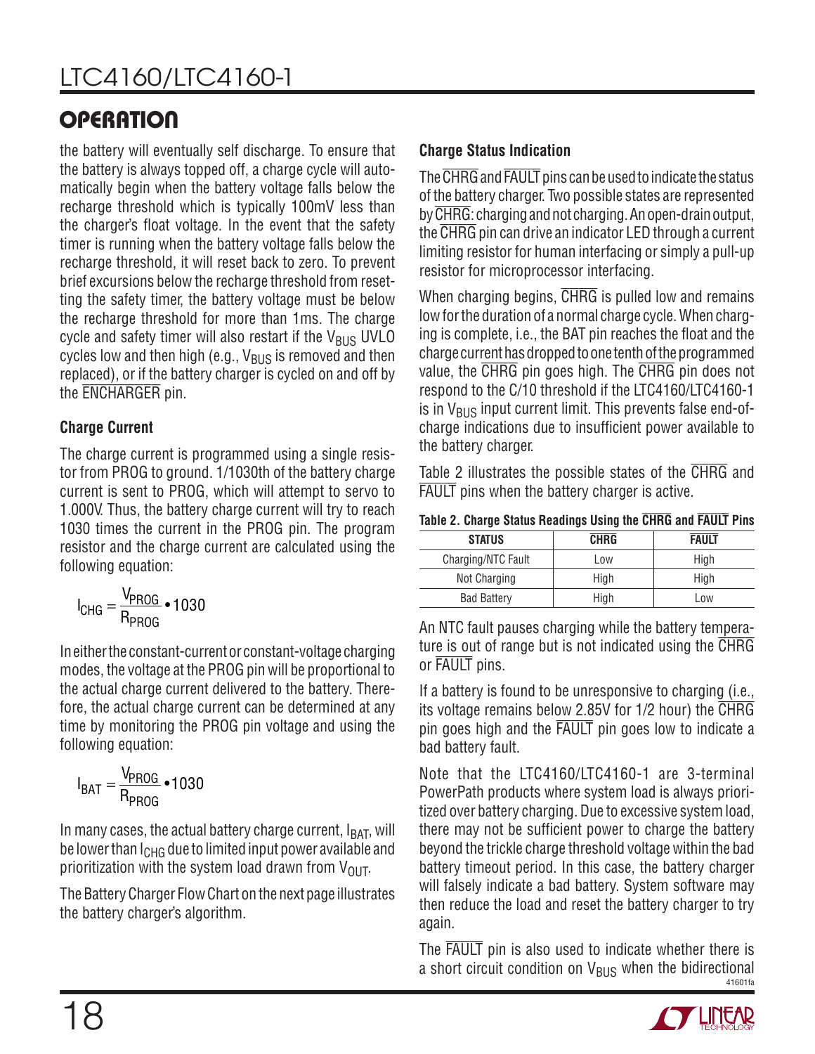the battery will eventually self discharge. To ensure that the battery is always topped off, a charge cycle will automatically begin when the battery voltage falls below the recharge threshold which is typically 100mV less than the charger's float voltage. In the event that the safety timer is running when the battery voltage falls below the recharge threshold, it will reset back to zero. To prevent brief excursions below the recharge threshold from resetting the safety timer, the battery voltage must be below the recharge threshold for more than 1ms. The charge cycle and safety timer will also restart if the  $V_{\rm BUS}$  UVLO cycles low and then high (e.g.,  $V_{BUS}$  is removed and then replaced), or if the battery charger is cycled on and off by the ENCHARGER pin.

#### **Charge Current**

The charge current is programmed using a single resistor from PROG to ground. 1/1030th of the battery charge current is sent to PROG, which will attempt to servo to 1.000V. Thus, the battery charge current will try to reach 1030 times the current in the PROG pin. The program resistor and the charge current are calculated using the following equation:

$$
I_{CHG} = \frac{V_{PROG}}{R_{PROG}} \cdot 1030
$$

In either the constant-current or constant-voltage charging modes, the voltage at the PROG pin will be proportional to the actual charge current delivered to the battery. Therefore, the actual charge current can be determined at any time by monitoring the PROG pin voltage and using the following equation:

$$
I_{BAT} = \frac{V_{PROG}}{R_{PROG}} \cdot 1030
$$

In many cases, the actual battery charge current,  $I_{BAT}$ , will be lower than I<sub>CHG</sub> due to limited input power available and prioritization with the system load drawn from  $V_{\text{OUT}}$ .

The Battery Charger Flow Chart on the next page illustrates the battery charger's algorithm.

#### **Charge Status Indication**

The CHRG and FAULT pins can be used to indicate the status of the battery charger. Two possible states are represented by CHRG: charging and not charging. An open-drain output, the CHRG pin can drive an indicator LED through a current limiting resistor for human interfacing or simply a pull-up resistor for microprocessor interfacing.

When charging begins, CHRG is pulled low and remains low for the duration of a normal charge cycle. When charging is complete, i.e., the BAT pin reaches the float and the charge current has dropped to one tenth of the programmed value, the CHRG pin goes high. The CHRG pin does not respond to the C/10 threshold if the LTC4160/LTC4160-1 is in  $V_{BUS}$  input current limit. This prevents false end-ofcharge indications due to insufficient power available to the battery charger.

Table 2 illustrates the possible states of the CHRG and FAULT pins when the battery charger is active.

|  |  |  | Table 2. Charge Status Readings Using the CHRG and FAULT Pins |  |  |  |  |  |  |
|--|--|--|---------------------------------------------------------------|--|--|--|--|--|--|
|--|--|--|---------------------------------------------------------------|--|--|--|--|--|--|

| <b>STATUS</b>      | <b>CHRG</b> | <b>FAULT</b> |
|--------------------|-------------|--------------|
| Charging/NTC Fault | Low         | High         |
| Not Charging       | High        | High         |
| <b>Bad Battery</b> | High        | Low          |

An NTC fault pauses charging while the battery temperature is out of range but is not indicated using the CHRG or FAULT pins.

If a battery is found to be unresponsive to charging (i.e., its voltage remains below 2.85V for 1/2 hour) the CHRG pin goes high and the FAULT pin goes low to indicate a bad battery fault.

Note that the LTC4160/LTC4160-1 are 3-terminal PowerPath products where system load is always prioritized over battery charging. Due to excessive system load, there may not be sufficient power to charge the battery beyond the trickle charge threshold voltage within the bad battery timeout period. In this case, the battery charger will falsely indicate a bad battery. System software may then reduce the load and reset the battery charger to try again.

41601fa The FAULT pin is also used to indicate whether there is a short circuit condition on  $V_{BUS}$  when the bidirectional

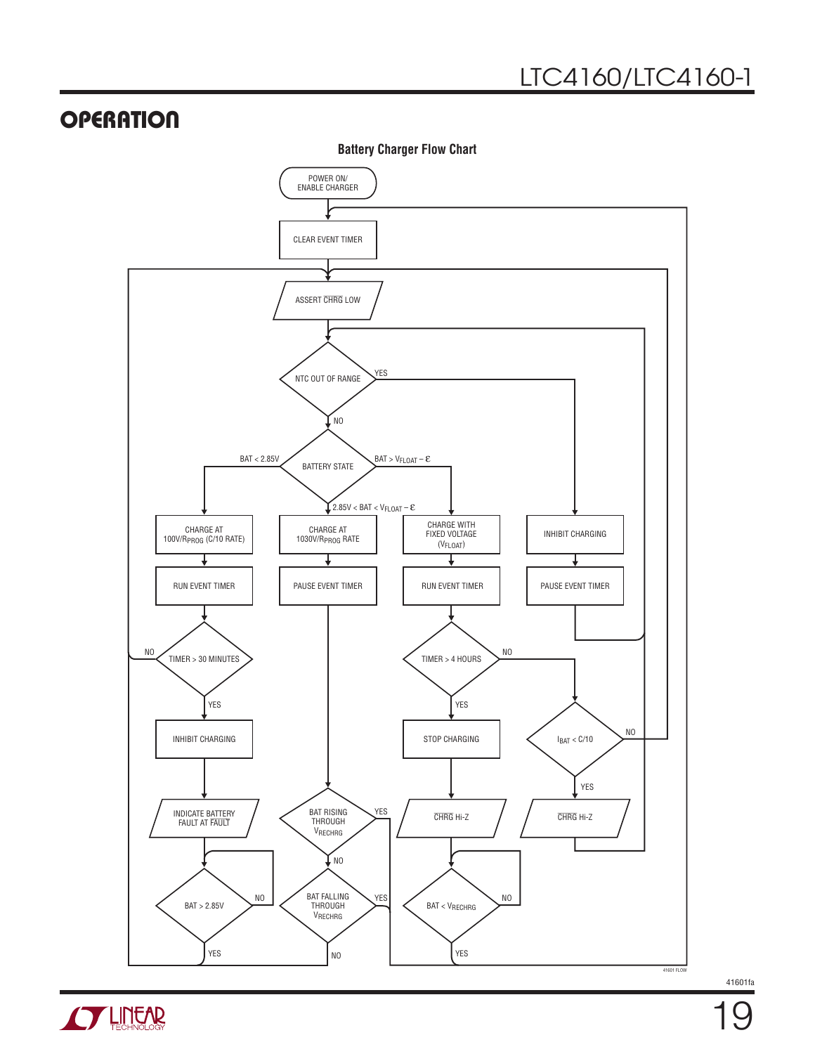

**Battery Charger Flow Chart**

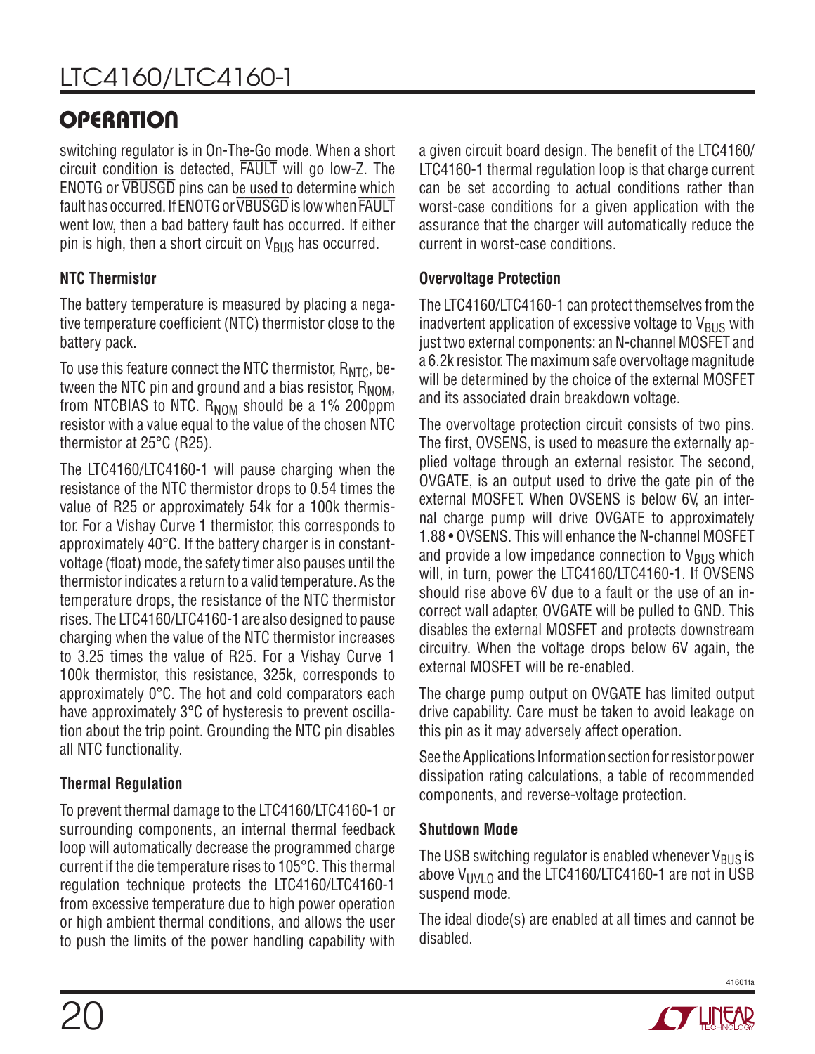switching regulator is in On-The-Go mode. When a short circuit condition is detected, FAULT will go low-Z. The ENOTG or VBUSGD pins can be used to determine which fault has occurred. If ENOTG or VBUSGD is low when FAULT went low, then a bad battery fault has occurred. If either pin is high, then a short circuit on  $V_{BUS}$  has occurred.

#### **NTC Thermistor**

The battery temperature is measured by placing a negative temperature coefficient (NTC) thermistor close to the battery pack.

To use this feature connect the NTC thermistor,  $R<sub>NTC</sub>$ , between the NTC pin and ground and a bias resistor,  $R_{NOM}$ , from NTCBIAS to NTC.  $R_{NOM}$  should be a 1% 200ppm resistor with a value equal to the value of the chosen NTC thermistor at 25°C (R25).

The LTC4160/LTC4160-1 will pause charging when the resistance of the NTC thermistor drops to 0.54 times the value of R25 or approximately 54k for a 100k thermistor. For a Vishay Curve 1 thermistor, this corresponds to approximately 40°C. If the battery charger is in constantvoltage (float) mode, the safety timer also pauses until the thermistor indicates a return to a valid temperature. As the temperature drops, the resistance of the NTC thermistor rises. The LTC4160/LTC4160-1 are also designed to pause charging when the value of the NTC thermistor increases to 3.25 times the value of R25. For a Vishay Curve 1 100k thermistor, this resistance, 325k, corresponds to approximately 0°C. The hot and cold comparators each have approximately 3°C of hysteresis to prevent oscillation about the trip point. Grounding the NTC pin disables all NTC functionality.

#### **Thermal Regulation**

To prevent thermal damage to the LTC4160/LTC4160-1 or surrounding components, an internal thermal feedback loop will automatically decrease the programmed charge current if the die temperature rises to 105°C. This thermal regulation technique protects the LTC4160/LTC4160-1 from excessive temperature due to high power operation or high ambient thermal conditions, and allows the user to push the limits of the power handling capability with a given circuit board design. The benefit of the LTC4160/ LTC4160-1 thermal regulation loop is that charge current can be set according to actual conditions rather than worst-case conditions for a given application with the assurance that the charger will automatically reduce the current in worst-case conditions.

#### **Overvoltage Protection**

The LTC4160/LTC4160-1 can protect themselves from the inadvertent application of excessive voltage to  $V_{\rm BUS}$  with just two external components: an N-channel MOSFET and a 6.2k resistor. The maximum safe overvoltage magnitude will be determined by the choice of the external MOSFET and its associated drain breakdown voltage.

The overvoltage protection circuit consists of two pins. The first, OVSENS, is used to measure the externally applied voltage through an external resistor. The second, OVGATE, is an output used to drive the gate pin of the external MOSFET. When OVSENS is below 6V, an internal charge pump will drive OVGATE to approximately 1.88 • OVSENS. This will enhance the N-channel MOSFET and provide a low impedance connection to  $V_{BUS}$  which will, in turn, power the LTC4160/LTC4160-1. If OVSENS should rise above 6V due to a fault or the use of an incorrect wall adapter, OVGATE will be pulled to GND. This disables the external MOSFET and protects downstream circuitry. When the voltage drops below 6V again, the external MOSFET will be re-enabled.

The charge pump output on OVGATE has limited output drive capability. Care must be taken to avoid leakage on this pin as it may adversely affect operation.

See the Applications Information section for resistor power dissipation rating calculations, a table of recommended components, and reverse-voltage protection.

#### **Shutdown Mode**

The USB switching regulator is enabled whenever  $V_{BUS}$  is above  $V_{UV}$  o and the LTC4160/LTC4160-1 are not in USB suspend mode.

The ideal diode(s) are enabled at all times and cannot be disabled.



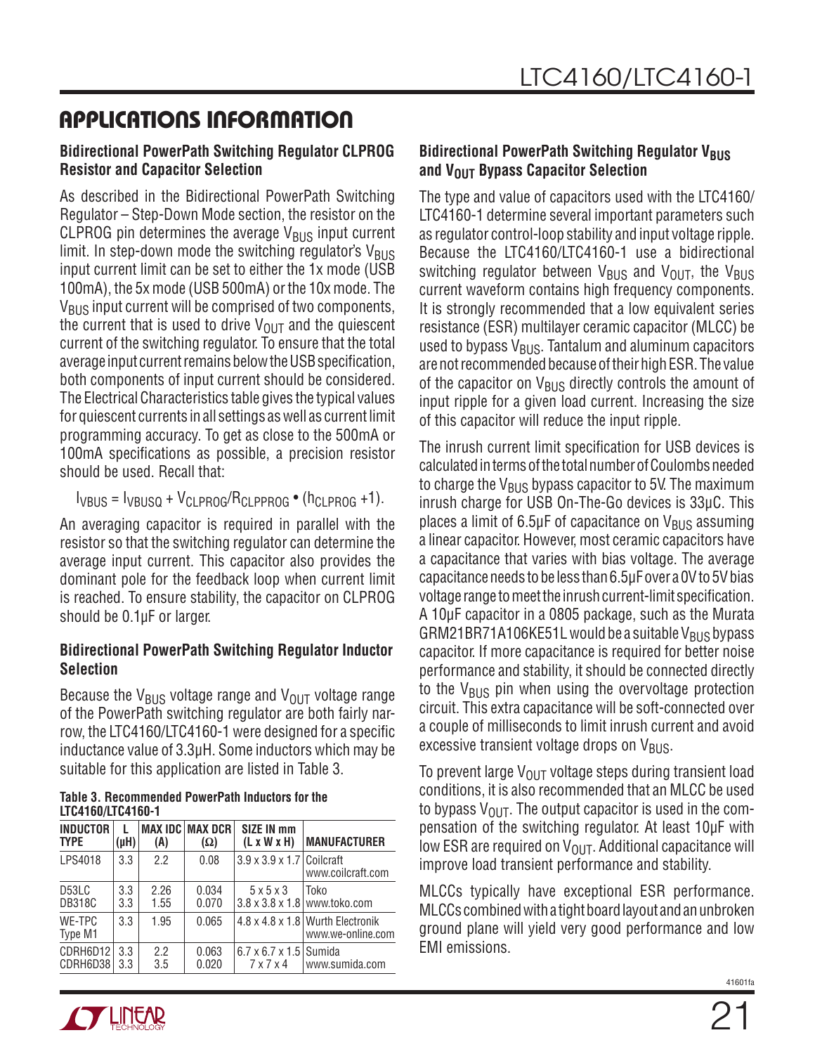#### **Bidirectional PowerPath Switching Regulator CLPROG Resistor and Capacitor Selection**

As described in the Bidirectional PowerPath Switching Regulator – Step-Down Mode section, the resistor on the CLPROG pin determines the average  $V_{\rm RIS}$  input current limit. In step-down mode the switching regulator's  $V_{\text{BUS}}$ input current limit can be set to either the 1x mode (USB 100mA), the 5x mode (USB 500mA) or the 10x mode. The  $V_{\rm BUS}$  input current will be comprised of two components, the current that is used to drive  $V_{\text{OUT}}$  and the quiescent current of the switching regulator. To ensure that the total average input current remains below the USB specification, both components of input current should be considered. The Electrical Characteristics table gives the typical values for quiescent currents in all settings as well as current limit programming accuracy. To get as close to the 500mA or 100mA specifications as possible, a precision resistor should be used. Recall that:

 $I_{VBUS} = I_{VBUSO} + V_{CI}$  PROG/RCLPPROG  $\bullet$  ( $h_{CI}$  PROG +1).

An averaging capacitor is required in parallel with the resistor so that the switching regulator can determine the average input current. This capacitor also provides the dominant pole for the feedback loop when current limit is reached. To ensure stability, the capacitor on CLPROG should be 0.1µF or larger.

#### **Bidirectional PowerPath Switching Regulator Inductor Selection**

Because the V<sub>BUS</sub> voltage range and V<sub>OUT</sub> voltage range of the PowerPath switching regulator are both fairly narrow, the LTC4160/LTC4160-1 were designed for a specific inductance value of 3.3μH. Some inductors which may be suitable for this application are listed in Table 3.

#### **Table 3. Recommended PowerPath Inductors for the LTC4160/LTC4160-1**

| <b>INDUCTOR</b><br><b>TYPE</b>      | (µH)       | (A)          | <b>MAX IDC MAX DCR</b><br>$(\Omega)$ | <b>SIZE IN mm</b><br>(L x W x H)                            | <b>MANUFACTURER</b>                                               |
|-------------------------------------|------------|--------------|--------------------------------------|-------------------------------------------------------------|-------------------------------------------------------------------|
| LPS4018                             | 3.3        | 2.2          | 0.08                                 | $3.9 \times 3.9 \times 1.7$ Coilcraft                       | www.coilcraft.com                                                 |
| D <sub>53</sub> LC<br><b>DB318C</b> | 3.3<br>3.3 | 2.26<br>1.55 | 0.034<br>0.070                       | $5 \times 5 \times 3$                                       | Toko<br>$3.8 \times 3.8 \times 1.8$ www.toko.com                  |
| WE-TPC<br>Type M1                   | 3.3        | 1.95         | 0.065                                |                                                             | $4.8 \times 4.8 \times 1.8$ Wurth Electronik<br>www.we-online.com |
| CDRH6D12<br>CDRH6D38                | 3.3<br>3.3 | 2.2<br>3.5   | 0.063<br>0.020                       | $6.7 \times 6.7 \times 1.5$ Sumida<br>$7 \times 7 \times 4$ | www.sumida.com                                                    |

#### **Bidirectional PowerPath Switching Regulator VBUS and V<sub>OUT</sub> Bypass Capacitor Selection**

The type and value of capacitors used with the LTC4160/ LTC4160-1 determine several important parameters such as regulator control-loop stability and input voltage ripple. Because the LTC4160/LTC4160-1 use a bidirectional switching regulator between  $V_{\text{BUS}}$  and  $V_{\text{OUT}}$ , the  $V_{\text{BUS}}$ current waveform contains high frequency components. It is strongly recommended that a low equivalent series resistance (ESR) multilayer ceramic capacitor (MLCC) be used to bypass  $V_{BUS}$ . Tantalum and aluminum capacitors are not recommended because of their high ESR. The value of the capacitor on  $V_{BUS}$  directly controls the amount of input ripple for a given load current. Increasing the size of this capacitor will reduce the input ripple.

The inrush current limit specification for USB devices is calculated in terms of the total number of Coulombs needed to charge the  $V_{BUS}$  bypass capacitor to 5V. The maximum inrush charge for USB On-The-Go devices is 33μC. This places a limit of 6.5 $\mu$ F of capacitance on V<sub>BUS</sub> assuming a linear capacitor. However, most ceramic capacitors have a capacitance that varies with bias voltage. The average capacitance needs to be less than 6.5μF over a 0V to 5V bias voltage range to meet the inrush current-limit specification. A 10μF capacitor in a 0805 package, such as the Murata GRM21BR71A106KE51L would be a suitable  $V_{BUS}$  bypass capacitor. If more capacitance is required for better noise performance and stability, it should be connected directly to the  $V_{BUS}$  pin when using the overvoltage protection circuit. This extra capacitance will be soft-connected over a couple of milliseconds to limit inrush current and avoid excessive transient voltage drops on  $V_{\text{BUS}}$ .

To prevent large  $V_{\text{OUT}}$  voltage steps during transient load conditions, it is also recommended that an MLCC be used to bypass  $V_{OIII}$ . The output capacitor is used in the compensation of the switching regulator. At least 10µF with low ESR are required on  $V_{\text{OUT}}$ . Additional capacitance will improve load transient performance and stability.

MLCCs typically have exceptional ESR performance. MLCCs combined with a tight board layout and an unbroken ground plane will yield very good performance and low EMI emissions.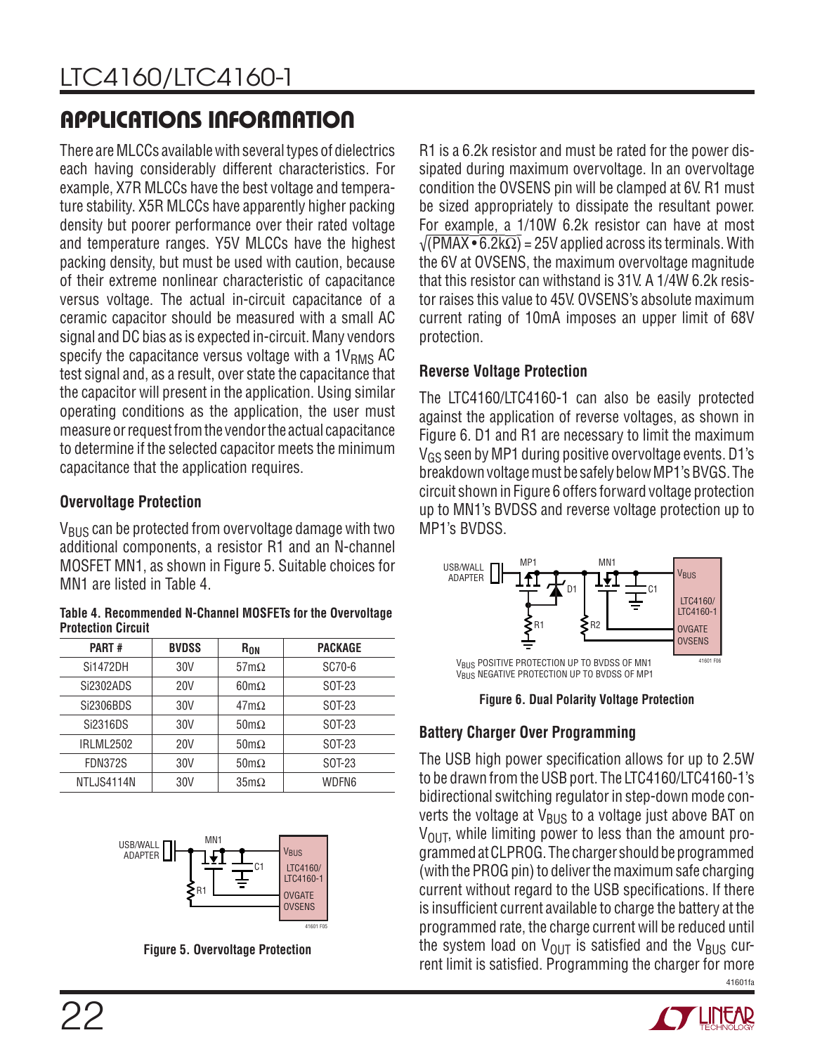There are MLCCs available with several types of dielectrics each having considerably different characteristics. For example, X7R MLCCs have the best voltage and temperature stability. X5R MLCCs have apparently higher packing density but poorer performance over their rated voltage and temperature ranges. Y5V MLCCs have the highest packing density, but must be used with caution, because of their extreme nonlinear characteristic of capacitance versus voltage. The actual in-circuit capacitance of a ceramic capacitor should be measured with a small AC signal and DC bias as is expected in-circuit. Many vendors specify the capacitance versus voltage with a  $1V<sub>RMS</sub>$  AC test signal and, as a result, over state the capacitance that the capacitor will present in the application. Using similar operating conditions as the application, the user must measure or request from the vendor the actual capacitance to determine if the selected capacitor meets the minimum capacitance that the application requires.

#### **Overvoltage Protection**

 $V_{\rm BUS}$  can be protected from overvoltage damage with two additional components, a resistor R1 and an N-channel MOSFET MN1, as shown in Figure 5. Suitable choices for MN1 are listed in Table 4.

**Table 4. Recommended N-Channel MOSFETs for the Overvoltage Protection Circuit**

| <b>PART#</b>   | <b>BVDSS</b> | R <sub>ON</sub>     | <b>PACKAGE</b> |
|----------------|--------------|---------------------|----------------|
| Si1472DH       | 30V          | $57 \text{m}\Omega$ | SC70-6         |
| Si2302ADS      | 20V          | $60 \text{m}\Omega$ | SOT-23         |
| Si2306BDS      | 30V          | $47 \text{m}\Omega$ | SOT-23         |
| Si2316DS       | 30V          | $50 \text{m}\Omega$ | SOT-23         |
| IRLML2502      | 20V          | $50 \text{m}\Omega$ | SOT-23         |
| <b>FDN372S</b> | 30V          | $50 \text{m}\Omega$ | SOT-23         |
| NTLJS4114N     | 30V          | $35 \text{m}\Omega$ | WDFN6          |



**Figure 5. Overvoltage Protection**

R1 is a 6.2k resistor and must be rated for the power dissipated during maximum overvoltage. In an overvoltage condition the OVSENS pin will be clamped at 6V. R1 must be sized appropriately to dissipate the resultant power. For example, a 1/10W 6.2k resistor can have at most  $\sqrt{(\text{PMAX} \cdot 6.2 \text{k}\Omega)}$  = 25V applied across its terminals. With the 6V at OVSENS, the maximum overvoltage magnitude that this resistor can withstand is 31V. A 1/4W 6.2k resistor raises this value to 45V. OVSENS's absolute maximum current rating of 10mA imposes an upper limit of 68V protection.

#### **Reverse Voltage Protection**

The LTC4160/LTC4160-1 can also be easily protected against the application of reverse voltages, as shown in Figure 6. D1 and R1 are necessary to limit the maximum VGS seen by MP1 during positive overvoltage events. D1's breakdown voltage must be safely below MP1's BVGS. The circuit shown in Figure 6 offers forward voltage protection up to MN1's BVDSS and reverse voltage protection up to MP1's BVDSS.



**Figure 6. Dual Polarity Voltage Protection**

#### **Battery Charger Over Programming**

41601fa The USB high power specification allows for up to 2.5W to be drawn from the USB port. The LTC4160/LTC4160-1's bidirectional switching regulator in step-down mode converts the voltage at  $V_{BUS}$  to a voltage just above BAT on  $V_{\text{OUT}}$ , while limiting power to less than the amount programmed at CLPROG. The charger should be programmed (with the PROG pin) to deliver the maximum safe charging current without regard to the USB specifications. If there is insufficient current available to charge the battery at the programmed rate, the charge current will be reduced until the system load on  $V_{OUT}$  is satisfied and the  $V_{BUS}$  current limit is satisfied. Programming the charger for more

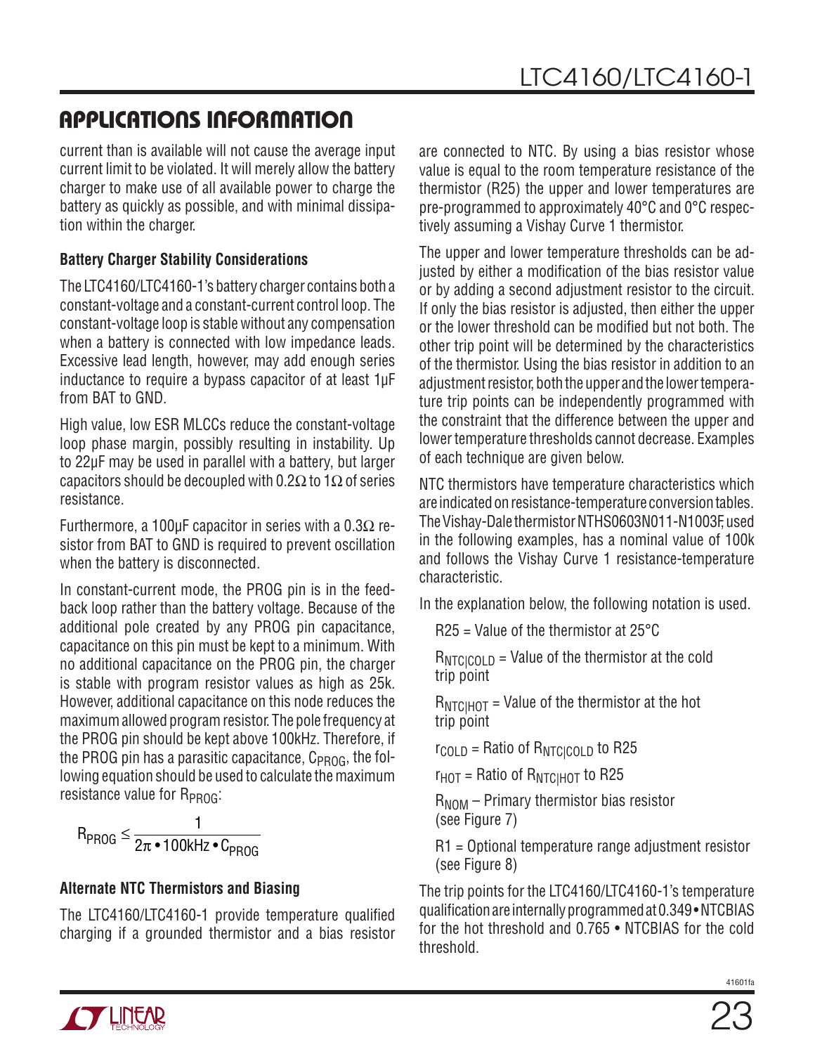current than is available will not cause the average input current limit to be violated. It will merely allow the battery charger to make use of all available power to charge the battery as quickly as possible, and with minimal dissipation within the charger.

#### **Battery Charger Stability Considerations**

The LTC4160/LTC4160-1's battery charger contains both a constant-voltage and a constant-current control loop. The constant-voltage loop is stable without any compensation when a battery is connected with low impedance leads. Excessive lead length, however, may add enough series inductance to require a bypass capacitor of at least 1µF from BAT to GND.

High value, low ESR MLCCs reduce the constant-voltage loop phase margin, possibly resulting in instability. Up to 22µF may be used in parallel with a battery, but larger capacitors should be decoupled with 0.2 $\Omega$  to 1 $\Omega$  of series resistance.

Furthermore, a 100µF capacitor in series with a 0.3 $\Omega$  resistor from BAT to GND is required to prevent oscillation when the battery is disconnected.

In constant-current mode, the PROG pin is in the feedback loop rather than the battery voltage. Because of the additional pole created by any PROG pin capacitance, capacitance on this pin must be kept to a minimum. With no additional capacitance on the PROG pin, the charger is stable with program resistor values as high as 25k. However, additional capacitance on this node reduces the maximum allowed program resistor. The pole frequency at the PROG pin should be kept above 100kHz. Therefore, if the PROG pin has a parasitic capacitance,  $C_{PROG}$ , the following equation should be used to calculate the maximum resistance value for R<sub>PROG</sub>:

$$
R_{PROG} \leq \frac{1}{2\pi \cdot 100 \text{kHz} \cdot C_{PROG}}
$$

#### **Alternate NTC Thermistors and Biasing**

The LTC4160/LTC4160-1 provide temperature qualified charging if a grounded thermistor and a bias resistor are connected to NTC. By using a bias resistor whose value is equal to the room temperature resistance of the thermistor (R25) the upper and lower temperatures are pre-programmed to approximately 40°C and 0°C respectively assuming a Vishay Curve 1 thermistor.

The upper and lower temperature thresholds can be adjusted by either a modification of the bias resistor value or by adding a second adjustment resistor to the circuit. If only the bias resistor is adjusted, then either the upper or the lower threshold can be modified but not both. The other trip point will be determined by the characteristics of the thermistor. Using the bias resistor in addition to an adjustment resistor, both the upper and the lower temperature trip points can be independently programmed with the constraint that the difference between the upper and lower temperature thresholds cannot decrease. Examples of each technique are given below.

NTC thermistors have temperature characteristics which are indicated on resistance-temperature conversion tables. The Vishay-Dale thermistor NTHS0603N011-N1003F, used in the following examples, has a nominal value of 100k and follows the Vishay Curve 1 resistance-temperature characteristic.

In the explanation below, the following notation is used.

 $R25$  = Value of the thermistor at 25 $\degree$ C

 $R_{NTCICOLD}$  = Value of the thermistor at the cold trip point

 $R_{\text{NTCHOT}}$  = Value of the thermistor at the hot trip point

 $r_{\text{COLD}}$  = Ratio of  $R_{\text{NTC}|\text{COLD}}$  to R25

 $r_{HOT}$  = Ratio of  $R_{NTCIHOT}$  to R25

 $R_{NOM}$  – Primary thermistor bias resistor (see Figure 7)

R1 = Optional temperature range adjustment resistor (see Figure 8)

The trip points for the LTC4160/LTC4160-1's temperature qualification are internally programmed at 0.349 • NTCBIAS for the hot threshold and 0.765 • NTCBIAS for the cold threshold.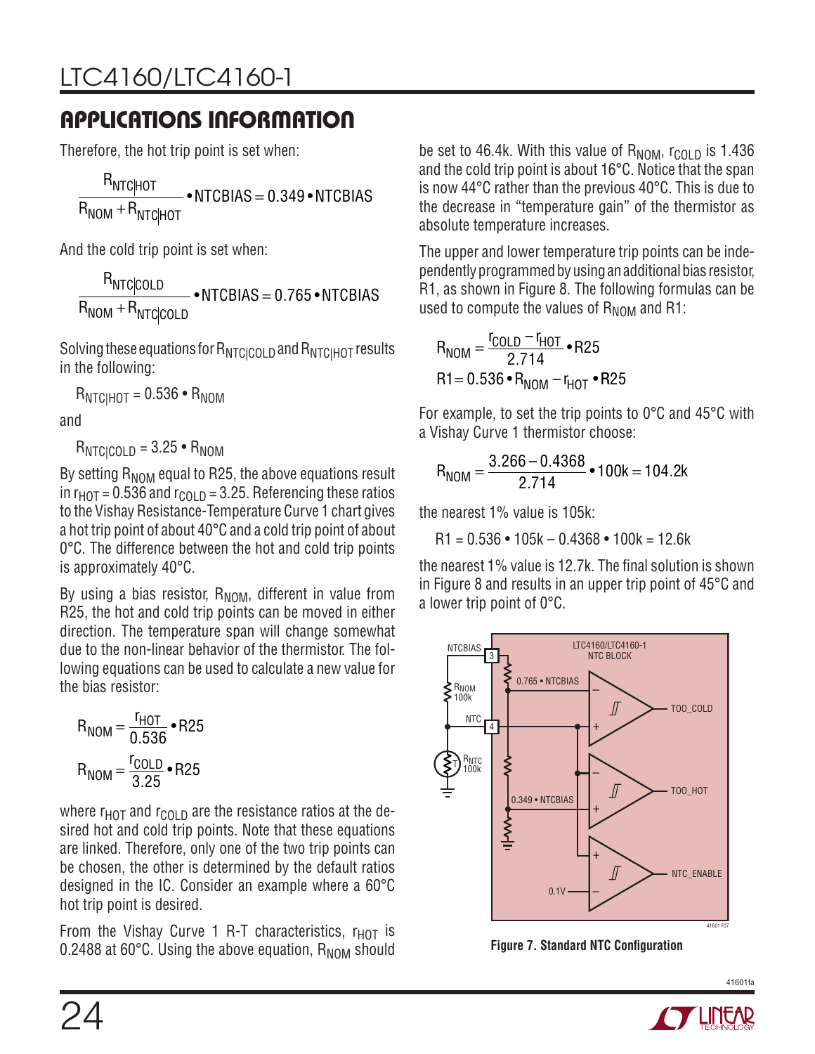Therefore, the hot trip point is set when:

R  $R_{\text{NOM}} + R_{\text{NTC}|\text{HOT}}$  $\overline{\text{NTC}}$ HOT  $\bullet$  NTCBIAS = 0.349  $\bullet$  NTCBIAS

And the cold trip point is set when:

R  $R_{NOM}$  + R  $N$ TC $|$ COLD  $\bullet$  NTCBIAS = 0.765  $\bullet$  NTCBIAS  $_{\rm NTC|COLD}$  $\bullet$ NTCBIAS = 0.765  $\bullet$ 

Solving these equations for  $R_{NTC|COLD}$  and  $R_{NTC|HOT}$  results in the following:

 $R_{\text{NTCHOT}} = 0.536 \cdot R_{\text{NOM}}$ 

and

 $R_{NTCICOLD} = 3.25 \cdot R_{NOM}$ 

By setting  $R_{\text{NOM}}$  equal to R25, the above equations result in  $r<sub>HOT</sub> = 0.536$  and  $r<sub>COLD</sub> = 3.25$ . Referencing these ratios to the Vishay Resistance-Temperature Curve 1 chart gives a hot trip point of about 40°C and a cold trip point of about 0°C. The difference between the hot and cold trip points is approximately 40°C.

By using a bias resistor,  $R_{NOM}$ , different in value from R25, the hot and cold trip points can be moved in either direction. The temperature span will change somewhat due to the non-linear behavior of the thermistor. The following equations can be used to calculate a new value for the bias resistor:

$$
R_{NOM} = \frac{r_{HOT}}{0.536} \cdot R25
$$

$$
R_{NOM} = \frac{r_{COLD}}{3.25} \cdot R25
$$

where  $r<sub>HOT</sub>$  and  $r<sub>COLD</sub>$  are the resistance ratios at the desired hot and cold trip points. Note that these equations are linked. Therefore, only one of the two trip points can be chosen, the other is determined by the default ratios designed in the IC. Consider an example where a 60°C hot trip point is desired.

From the Vishay Curve 1 R-T characteristics,  $r_{HOT}$  is 0.2488 at 60 $^{\circ}$ C. Using the above equation,  $R_{\text{NOM}}$  should be set to 46.4k. With this value of  $R_{\text{NOM}}$ ,  $r_{\text{COLD}}$  is 1.436 and the cold trip point is about 16°C. Notice that the span is now 44°C rather than the previous 40°C. This is due to the decrease in "temperature gain" of the thermistor as absolute temperature increases.

The upper and lower temperature trip points can be independently programmed by using an additional bias resistor, R1, as shown in Figure 8. The following formulas can be used to compute the values of  $R_{\text{NOM}}$  and R1:

$$
R_{NOM} = \frac{r_{COLD} - r_{HOT}}{2.714} \cdot R25
$$
  
R1 = 0.536 • R<sub>NOM</sub> - r<sub>HOT</sub> • R25

For example, to set the trip points to 0°C and 45°C with a Vishay Curve 1 thermistor choose:

$$
R_{NOM} = \frac{3.266 - 0.4368}{2.714} \cdot 100k = 104.2k
$$

the nearest 1% value is 105k:

 $R1 = 0.536 \cdot 105k - 0.4368 \cdot 100k = 12.6k$ 

the nearest 1% value is 12.7k. The final solution is shown in Figure 8 and results in an upper trip point of 45°C and a lower trip point of 0°C.



**Figure 7. Standard NTC Configuration**

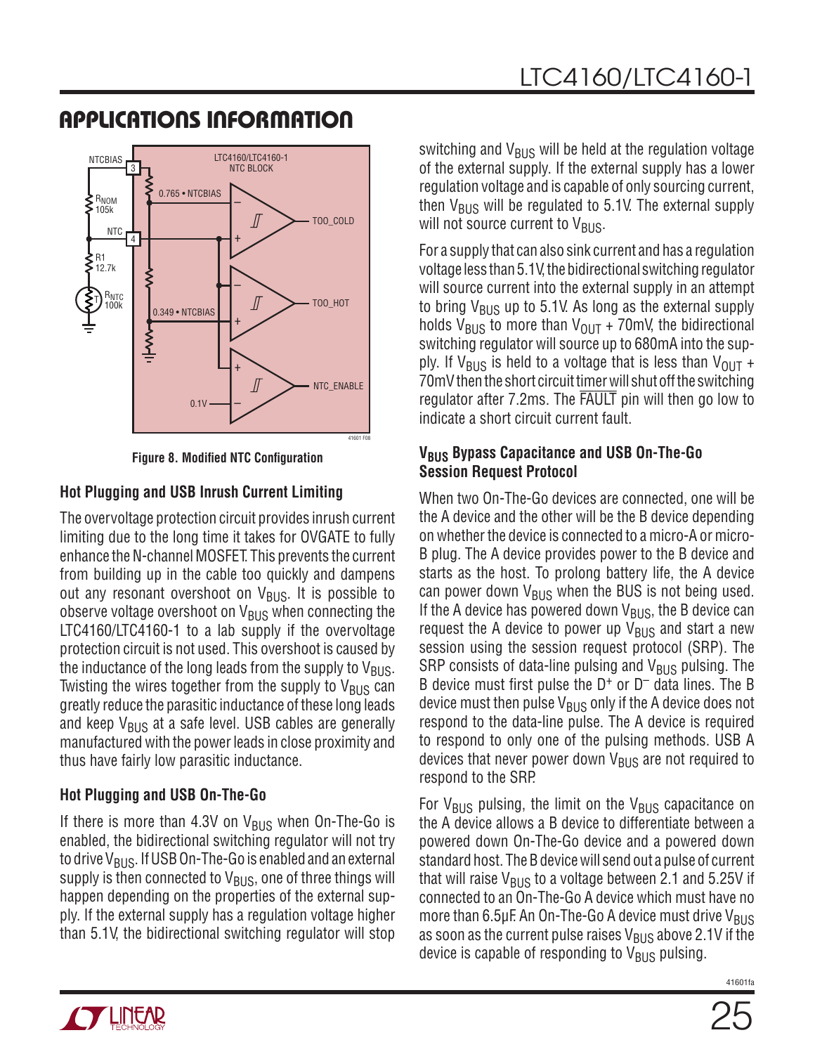

**Figure 8. Modified NTC Configuration**

#### **Hot Plugging and USB Inrush Current Limiting**

The overvoltage protection circuit provides inrush current limiting due to the long time it takes for OVGATE to fully enhance the N-channel MOSFET. This prevents the current from building up in the cable too quickly and dampens out any resonant overshoot on  $V_{BUS}$ . It is possible to observe voltage overshoot on  $V_{BUS}$  when connecting the LTC4160/LTC4160-1 to a lab supply if the overvoltage protection circuit is not used. This overshoot is caused by the inductance of the long leads from the supply to  $V_{\text{BUS}}$ . Twisting the wires together from the supply to  $V_{\text{BUS}}$  can greatly reduce the parasitic inductance of these long leads and keep  $V_{BUS}$  at a safe level. USB cables are generally manufactured with the power leads in close proximity and thus have fairly low parasitic inductance.

#### **Hot Plugging and USB On-The-Go**

If there is more than 4.3V on  $V_{\text{BUS}}$  when On-The-Go is enabled, the bidirectional switching regulator will not try to drive V<sub>BUS</sub>. If USB On-The-Go is enabled and an external supply is then connected to  $V_{\text{BUS}}$ , one of three things will happen depending on the properties of the external supply. If the external supply has a regulation voltage higher than 5.1V, the bidirectional switching regulator will stop

switching and  $V_{BUS}$  will be held at the regulation voltage of the external supply. If the external supply has a lower regulation voltage and is capable of only sourcing current, then  $V_{BUS}$  will be regulated to 5.1V. The external supply will not source current to  $V_{\text{RUS}}$ .

For a supply that can also sink current and has a regulation voltage less than 5.1V, the bidirectional switching regulator will source current into the external supply in an attempt to bring  $V_{BUS}$  up to 5.1V. As long as the external supply holds V<sub>BUS</sub> to more than V<sub>OUT</sub> + 70mV, the bidirectional switching regulator will source up to 680mA into the supply. If  $V_{BUS}$  is held to a voltage that is less than  $V_{OUT}$  + 70mV then the short circuit timer will shut off the switching regulator after 7.2ms. The FAULT pin will then go low to indicate a short circuit current fault.

#### **VBUS Bypass Capacitance and USB On-The-Go Session Request Protocol**

When two On-The-Go devices are connected, one will be the A device and the other will be the B device depending on whether the device is connected to a micro-A or micro-B plug. The A device provides power to the B device and starts as the host. To prolong battery life, the A device can power down  $V_{BUS}$  when the BUS is not being used. If the A device has powered down  $V_{BUS}$ , the B device can request the A device to power up  $V_{\text{BUS}}$  and start a new session using the session request protocol (SRP). The SRP consists of data-line pulsing and  $V_{\text{BUS}}$  pulsing. The B device must first pulse the  $D^+$  or  $D^-$  data lines. The B device must then pulse  $V_{\rm BUS}$  only if the A device does not respond to the data-line pulse. The A device is required to respond to only one of the pulsing methods. USB A devices that never power down  $V_{\text{BUS}}$  are not required to respond to the SRP.

For  $V_{BUS}$  pulsing, the limit on the  $V_{BUS}$  capacitance on the A device allows a B device to differentiate between a powered down On-The-Go device and a powered down standard host. The B device will send out a pulse of current that will raise  $V_{\rm BUS}$  to a voltage between 2.1 and 5.25V if connected to an On-The-Go A device which must have no more than 6.5μF. An On-The-Go A device must drive  $V_{BUS}$ as soon as the current pulse raises  $V_{\rm BUS}$  above 2.1V if the device is capable of responding to  $V_{BUS}$  pulsing.

**TT LIITUAR**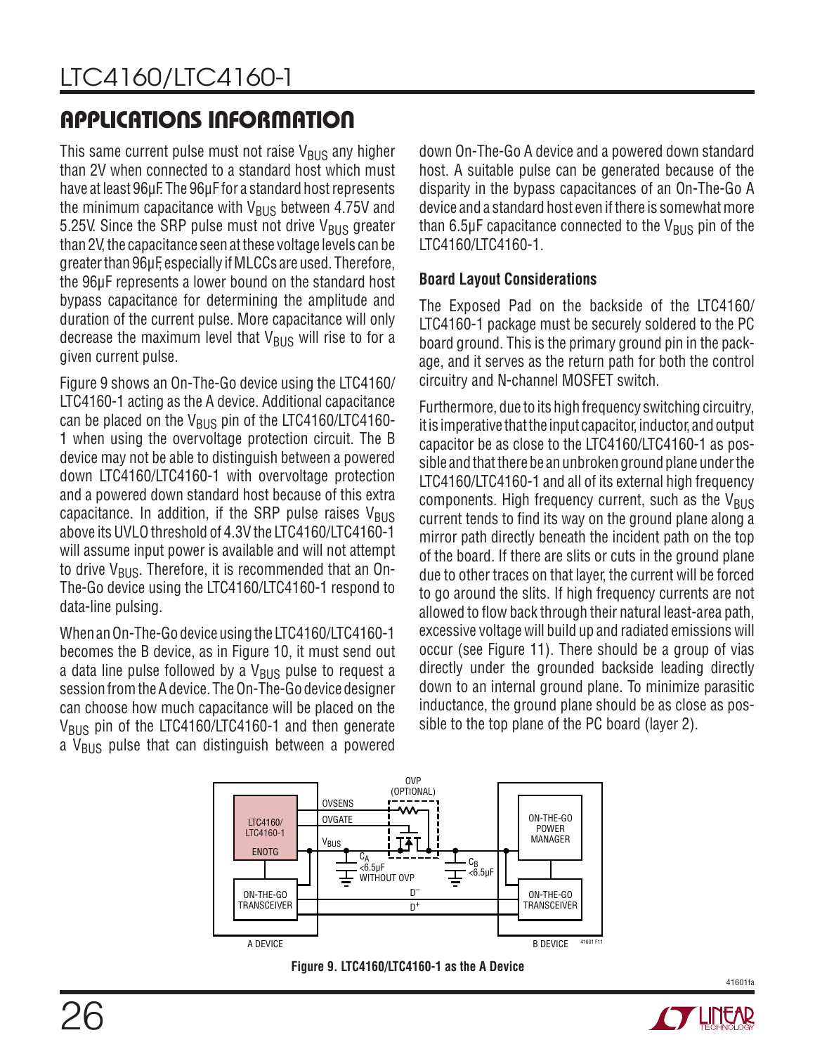This same current pulse must not raise  $V_{\text{BUS}}$  any higher than 2V when connected to a standard host which must have at least 96μF. The 96μF for a standard host represents the minimum capacitance with  $V_{BUS}$  between 4.75V and 5.25V. Since the SRP pulse must not drive  $V_{\rm BUS}$  greater than 2V, the capacitance seen at these voltage levels can be greater than 96μF, especially if MLCCs are used. Therefore, the 96μF represents a lower bound on the standard host bypass capacitance for determining the amplitude and duration of the current pulse. More capacitance will only decrease the maximum level that  $V_{\rm BUS}$  will rise to for a given current pulse.

Figure 9 shows an On-The-Go device using the LTC4160/ LTC4160-1 acting as the A device. Additional capacitance can be placed on the  $V_{BUS}$  pin of the LTC4160/LTC4160-1 when using the overvoltage protection circuit. The B device may not be able to distinguish between a powered down LTC4160/LTC4160-1 with overvoltage protection and a powered down standard host because of this extra capacitance. In addition, if the SRP pulse raises  $V_{\rm BUS}$ above its UVLO threshold of 4.3V the LTC4160/LTC4160-1 will assume input power is available and will not attempt to drive V<sub>BUS</sub>. Therefore, it is recommended that an On-The-Go device using the LTC4160/LTC4160-1 respond to data-line pulsing.

When an On-The-Go device using the LTC4160/LTC4160-1 becomes the B device, as in Figure 10, it must send out a data line pulse followed by a  $V_{BUS}$  pulse to request a session from the A device. The On-The-Go device designer can choose how much capacitance will be placed on the V<sub>BUS</sub> pin of the LTC4160/LTC4160-1 and then generate a  $V_{\text{BUS}}$  pulse that can distinguish between a powered down On-The-Go A device and a powered down standard host. A suitable pulse can be generated because of the disparity in the bypass capacitances of an On-The-Go A device and a standard host even if there is somewhat more than  $6.5\mu$ F capacitance connected to the V<sub>BUS</sub> pin of the LTC4160/LTC4160-1.

#### **Board Layout Considerations**

The Exposed Pad on the backside of the LTC4160/ LTC4160-1 package must be securely soldered to the PC board ground. This is the primary ground pin in the package, and it serves as the return path for both the control circuitry and N-channel MOSFET switch.

Furthermore, due to its high frequency switching circuitry, it is imperative that the input capacitor, inductor, and output capacitor be as close to the LTC4160/LTC4160-1 as possible and that there be an unbroken ground plane under the LTC4160/LTC4160-1 and all of its external high frequency components. High frequency current, such as the  $V_{\rm BUS}$ current tends to find its way on the ground plane along a mirror path directly beneath the incident path on the top of the board. If there are slits or cuts in the ground plane due to other traces on that layer, the current will be forced to go around the slits. If high frequency currents are not allowed to flow back through their natural least-area path, excessive voltage will build up and radiated emissions will occur (see Figure 11). There should be a group of vias directly under the grounded backside leading directly down to an internal ground plane. To minimize parasitic inductance, the ground plane should be as close as possible to the top plane of the PC board (layer 2).





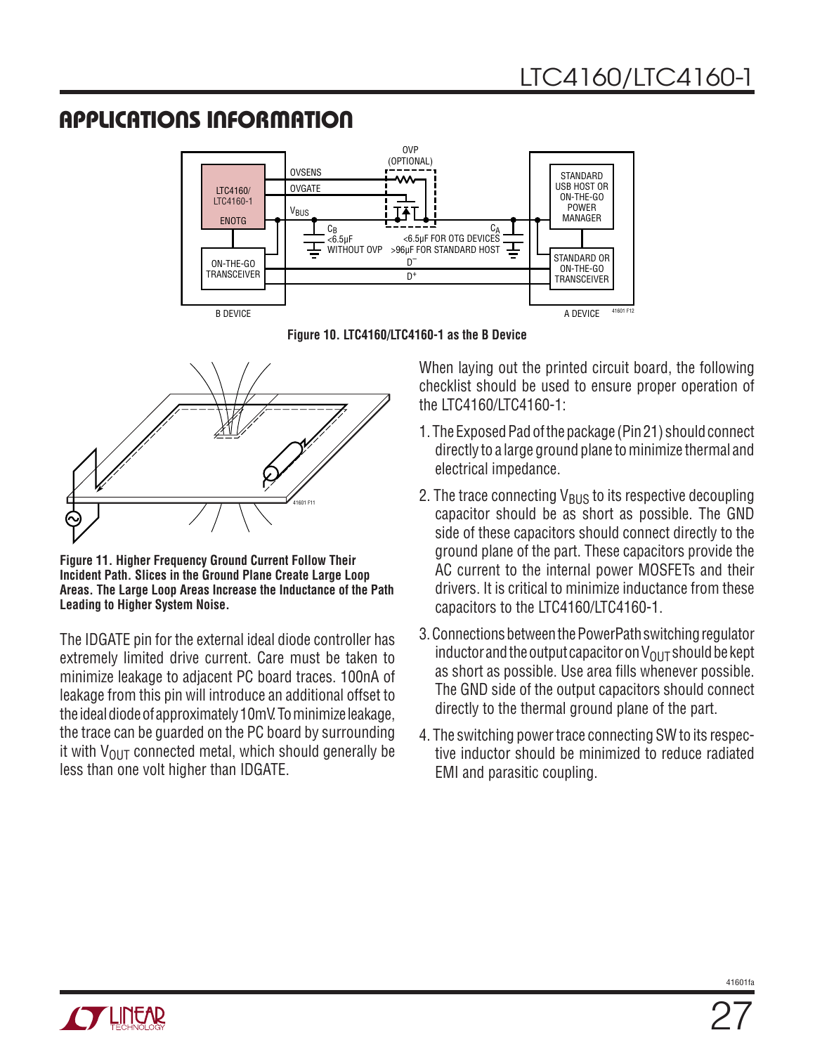

**Figure 10. LTC4160/LTC4160-1 as the B Device**



**Figure 11. Higher Frequency Ground Current Follow Their Incident Path. Slices in the Ground Plane Create Large Loop Areas. The Large Loop Areas Increase the Inductance of the Path Leading to Higher System Noise.**

The IDGATE pin for the external ideal diode controller has extremely limited drive current. Care must be taken to minimize leakage to adjacent PC board traces. 100nA of leakage from this pin will introduce an additional offset to the ideal diode of approximately 10mV. To minimize leakage, the trace can be guarded on the PC board by surrounding it with  $V_{\text{OUT}}$  connected metal, which should generally be less than one volt higher than IDGATE.

When laying out the printed circuit board, the following checklist should be used to ensure proper operation of the LTC4160/LTC4160-1:

- 1. The Exposed Pad of the package (Pin 21) should connect directly to a large ground plane to minimize thermal and electrical impedance.
- 2. The trace connecting  $V_{\rm BUS}$  to its respective decoupling capacitor should be as short as possible. The GND side of these capacitors should connect directly to the ground plane of the part. These capacitors provide the AC current to the internal power MOSFETs and their drivers. It is critical to minimize inductance from these capacitors to the LTC4160/LTC4160-1.
- 3. Connections between the PowerPath switching regulator inductor and the output capacitor on  $V_{\text{OUT}}$  should be kept as short as possible. Use area fills whenever possible. The GND side of the output capacitors should connect directly to the thermal ground plane of the part.
- 4. The switching power trace connecting SW to its respective inductor should be minimized to reduce radiated EMI and parasitic coupling.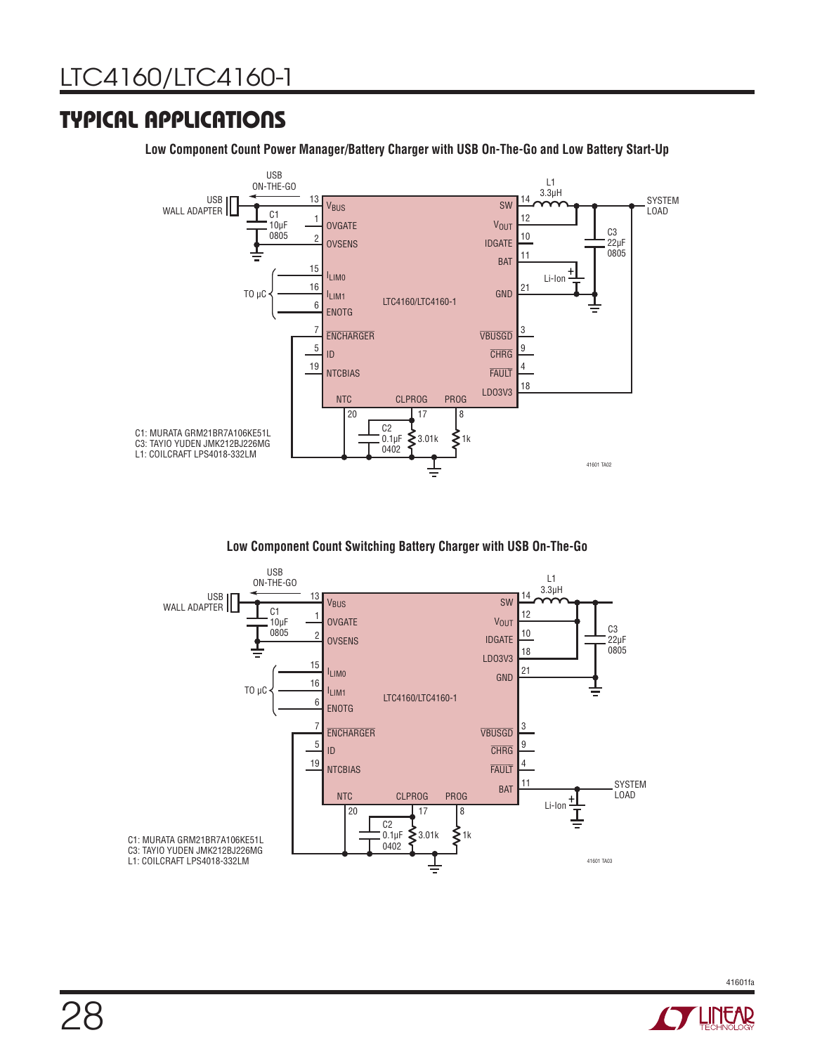### TYPICAL APPLICATIONS

**Low Component Count Power Manager/Battery Charger with USB On-The-Go and Low Battery Start-Up**



**Low Component Count Switching Battery Charger with USB On-The-Go**



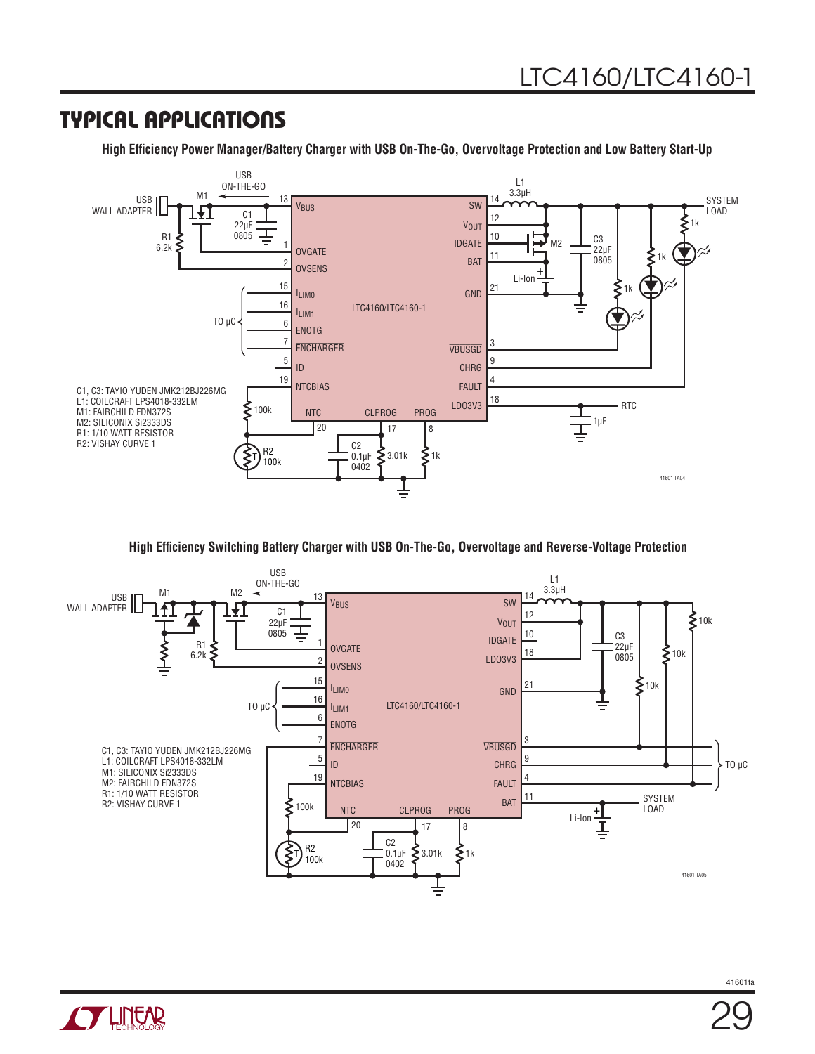### TYPICAL APPLICATIONS

**High Efficiency Power Manager/Battery Charger with USB On-The-Go, Overvoltage Protection and Low Battery Start-Up**



**High Efficiency Switching Battery Charger with USB On-The-Go, Overvoltage and Reverse-Voltage Protection**



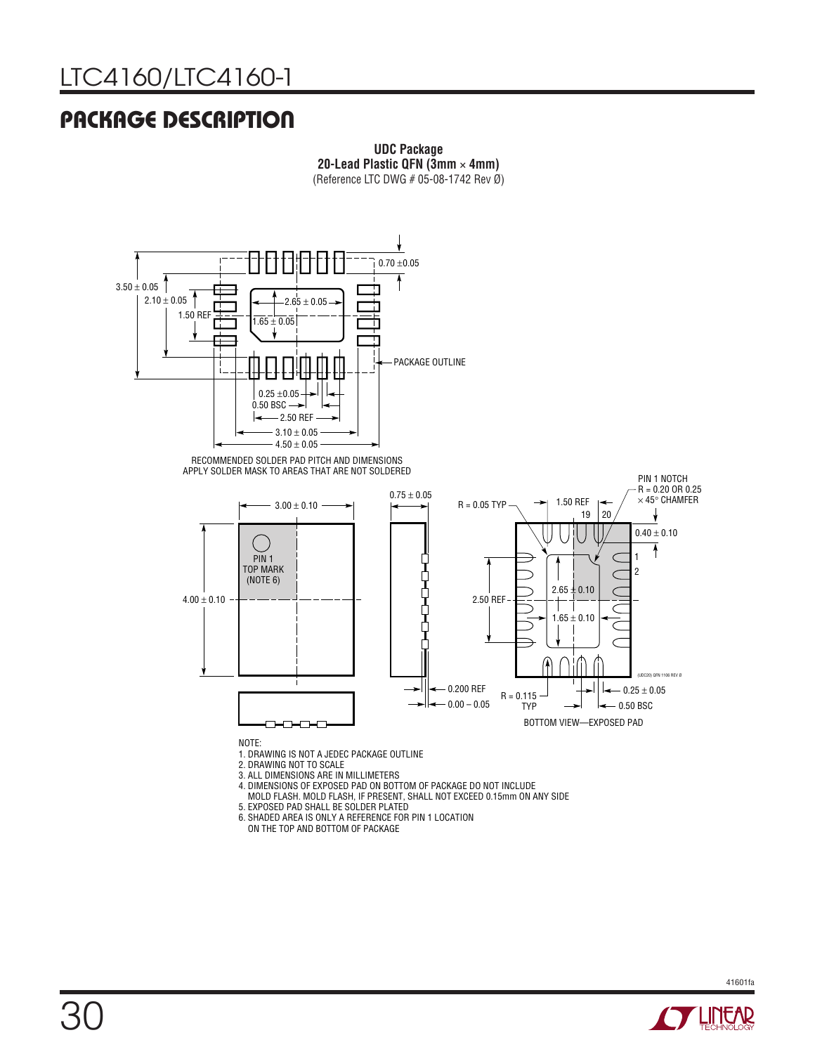#### (Reference LTC DWG # 05-08-1742 Rev Ø) PACKAGE DESCRIPTION



**UDC Package 20-Lead Plastic QFN (3mm** × **4mm)** (Reference LTC DWG # 05-08-1742 Rev Ø)

**UDC Package**



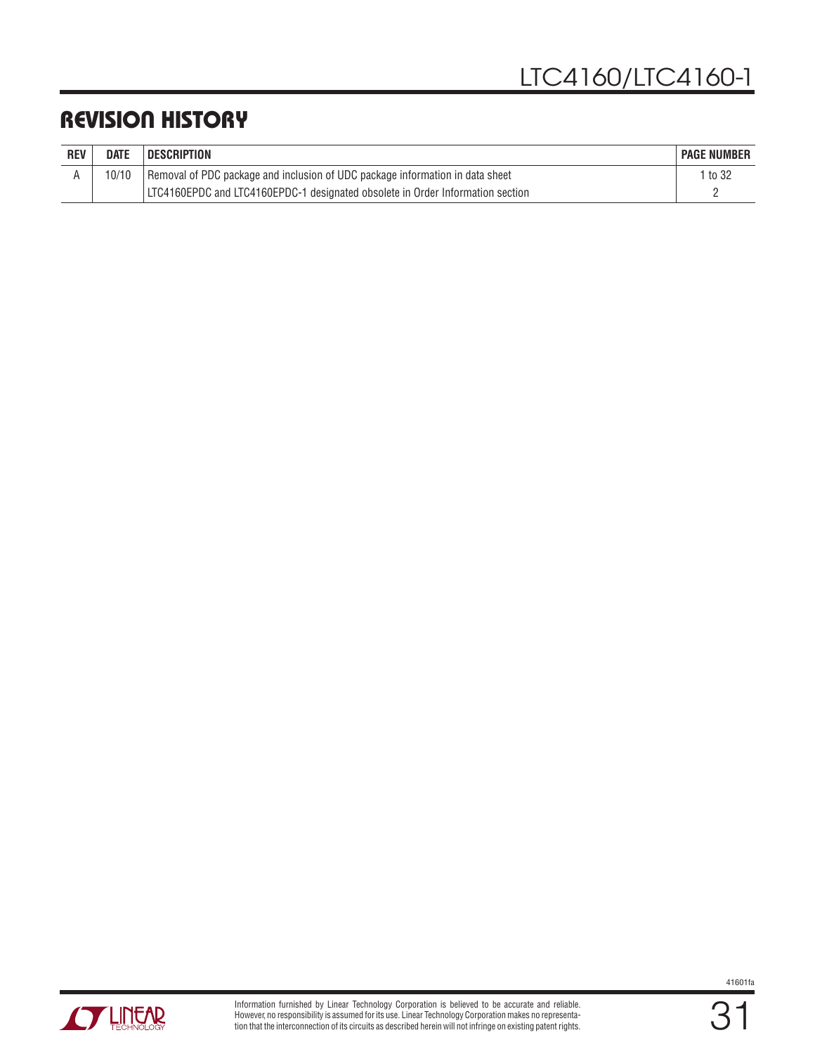### REVISION HISTORY

| <b>REV</b> | <b>DATE</b> | <b>DESCRIPTION</b>                                                             | <b>PAGE NUMBER</b> |
|------------|-------------|--------------------------------------------------------------------------------|--------------------|
|            |             | Removal of PDC package and inclusion of UDC package information in data sheet  | to 32              |
|            |             | LTC4160EPDC and LTC4160EPDC-1 designated obsolete in Order Information section |                    |